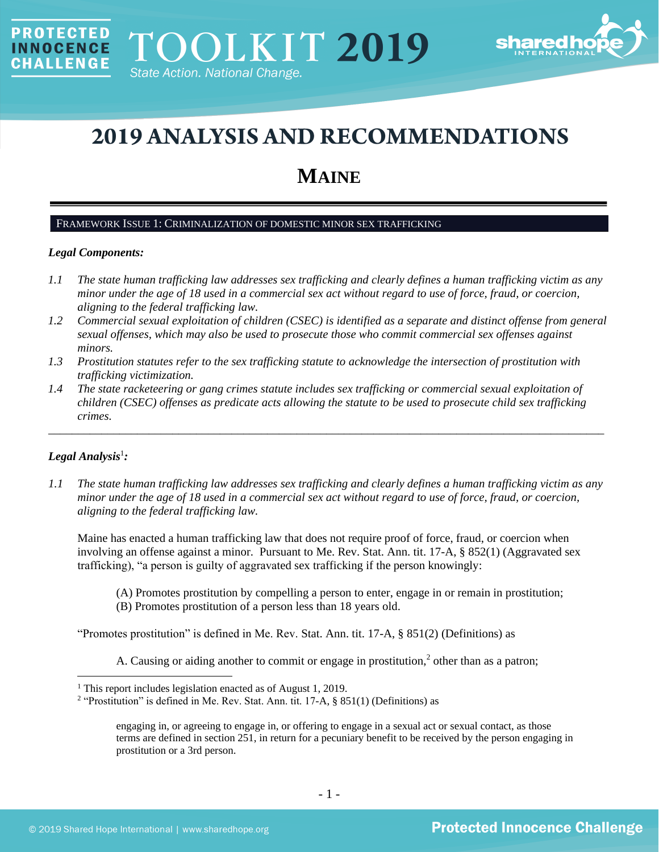

# **2019 ANALYSIS AND RECOMMENDATIONS**

# **MAINE**

#### FRAMEWORK ISSUE 1: CRIMINALIZATION OF DOMESTIC MINOR SEX TRAFFICKING

#### *Legal Components:*

PROTECTED

**INNOCENCE CHALLENGE** 

- *1.1 The state human trafficking law addresses sex trafficking and clearly defines a human trafficking victim as any minor under the age of 18 used in a commercial sex act without regard to use of force, fraud, or coercion, aligning to the federal trafficking law.*
- *1.2 Commercial sexual exploitation of children (CSEC) is identified as a separate and distinct offense from general sexual offenses, which may also be used to prosecute those who commit commercial sex offenses against minors.*
- *1.3 Prostitution statutes refer to the sex trafficking statute to acknowledge the intersection of prostitution with trafficking victimization.*
- *1.4 The state racketeering or gang crimes statute includes sex trafficking or commercial sexual exploitation of children (CSEC) offenses as predicate acts allowing the statute to be used to prosecute child sex trafficking crimes.*

\_\_\_\_\_\_\_\_\_\_\_\_\_\_\_\_\_\_\_\_\_\_\_\_\_\_\_\_\_\_\_\_\_\_\_\_\_\_\_\_\_\_\_\_\_\_\_\_\_\_\_\_\_\_\_\_\_\_\_\_\_\_\_\_\_\_\_\_\_\_\_\_\_\_\_\_\_\_\_\_\_\_\_\_\_\_\_\_\_\_\_\_\_\_

# $Legal$  Analysis<sup>1</sup>:

*1.1 The state human trafficking law addresses sex trafficking and clearly defines a human trafficking victim as any minor under the age of 18 used in a commercial sex act without regard to use of force, fraud, or coercion, aligning to the federal trafficking law.*

Maine has enacted a human trafficking law that does not require proof of force, fraud, or coercion when involving an offense against a minor. Pursuant to Me. Rev. Stat. Ann. tit. 17-A, § 852(1) (Aggravated sex trafficking), "a person is guilty of aggravated sex trafficking if the person knowingly:

(A) Promotes prostitution by compelling a person to enter, engage in or remain in prostitution; (B) Promotes prostitution of a person less than 18 years old.

"Promotes prostitution" is defined in Me. Rev. Stat. Ann. tit. 17-A, § 851(2) (Definitions) as

A. Causing or aiding another to commit or engage in prostitution, $<sup>2</sup>$  other than as a patron;</sup>

<sup>&</sup>lt;sup>1</sup> This report includes legislation enacted as of August 1, 2019.

<sup>&</sup>lt;sup>2</sup> "Prostitution" is defined in Me. Rev. Stat. Ann. tit. 17-A, § 851(1) (Definitions) as

engaging in, or agreeing to engage in, or offering to engage in a sexual act or sexual contact, as those terms are defined in section 251, in return for a pecuniary benefit to be received by the person engaging in prostitution or a 3rd person.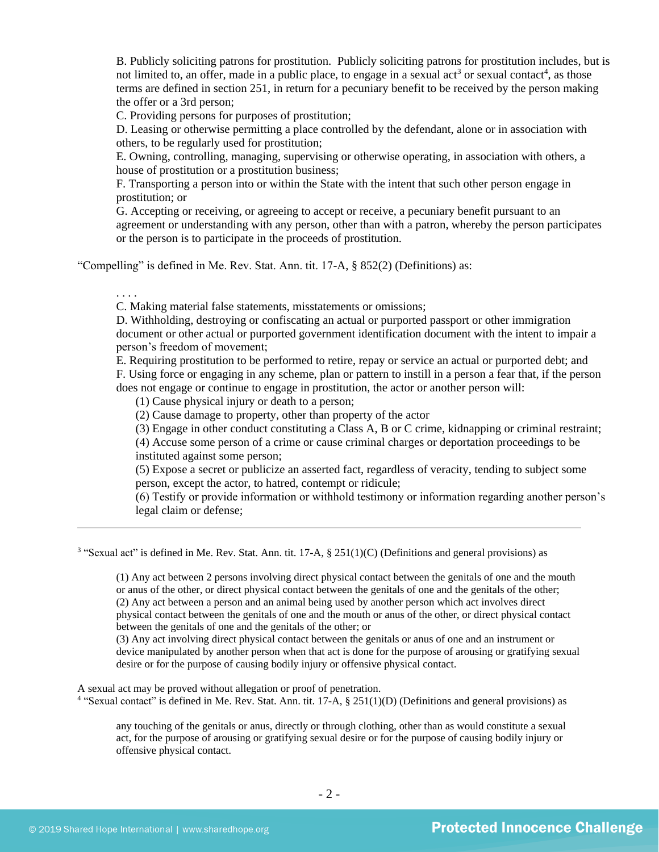<span id="page-1-0"></span>B. Publicly soliciting patrons for prostitution. Publicly soliciting patrons for prostitution includes, but is not limited to, an offer, made in a public place, to engage in a sexual act<sup>3</sup> or sexual contact<sup>4</sup>, as those terms are defined in section 251, in return for a pecuniary benefit to be received by the person making the offer or a 3rd person;

C. Providing persons for purposes of prostitution;

D. Leasing or otherwise permitting a place controlled by the defendant, alone or in association with others, to be regularly used for prostitution;

E. Owning, controlling, managing, supervising or otherwise operating, in association with others, a house of prostitution or a prostitution business;

F. Transporting a person into or within the State with the intent that such other person engage in prostitution; or

G. Accepting or receiving, or agreeing to accept or receive, a pecuniary benefit pursuant to an agreement or understanding with any person, other than with a patron, whereby the person participates or the person is to participate in the proceeds of prostitution.

"Compelling" is defined in Me. Rev. Stat. Ann. tit. 17-A, § 852(2) (Definitions) as:

. . . .

C. Making material false statements, misstatements or omissions;

D. Withholding, destroying or confiscating an actual or purported passport or other immigration document or other actual or purported government identification document with the intent to impair a person's freedom of movement;

E. Requiring prostitution to be performed to retire, repay or service an actual or purported debt; and F. Using force or engaging in any scheme, plan or pattern to instill in a person a fear that, if the person does not engage or continue to engage in prostitution, the actor or another person will:

(1) Cause physical injury or death to a person;

(2) Cause damage to property, other than property of the actor

(3) Engage in other conduct constituting a Class A, B or C crime, kidnapping or criminal restraint;

(4) Accuse some person of a crime or cause criminal charges or deportation proceedings to be instituted against some person;

(5) Expose a secret or publicize an asserted fact, regardless of veracity, tending to subject some person, except the actor, to hatred, contempt or ridicule;

(6) Testify or provide information or withhold testimony or information regarding another person's legal claim or defense;

<sup>3</sup> "Sexual act" is defined in Me. Rev. Stat. Ann. tit. 17-A, § 251(1)(C) (Definitions and general provisions) as

(1) Any act between 2 persons involving direct physical contact between the genitals of one and the mouth or anus of the other, or direct physical contact between the genitals of one and the genitals of the other; (2) Any act between a person and an animal being used by another person which act involves direct physical contact between the genitals of one and the mouth or anus of the other, or direct physical contact between the genitals of one and the genitals of the other; or

(3) Any act involving direct physical contact between the genitals or anus of one and an instrument or device manipulated by another person when that act is done for the purpose of arousing or gratifying sexual desire or for the purpose of causing bodily injury or offensive physical contact.

A sexual act may be proved without allegation or proof of penetration. <sup>4</sup> "Sexual contact" is defined in Me. Rev. Stat. Ann. tit. 17-A, § 251(1)(D) (Definitions and general provisions) as

any touching of the genitals or anus, directly or through clothing, other than as would constitute a sexual act, for the purpose of arousing or gratifying sexual desire or for the purpose of causing bodily injury or offensive physical contact.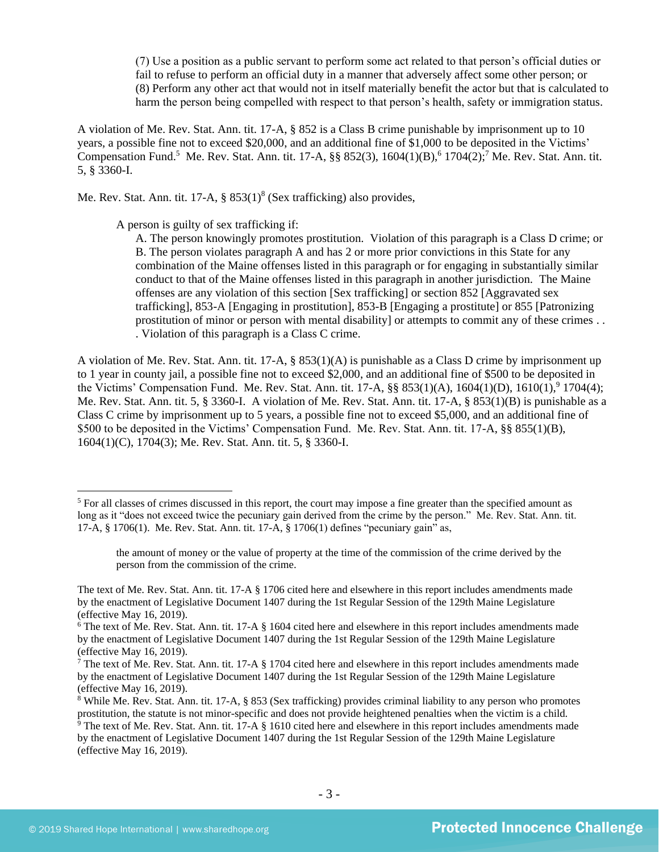(7) Use a position as a public servant to perform some act related to that person's official duties or fail to refuse to perform an official duty in a manner that adversely affect some other person; or (8) Perform any other act that would not in itself materially benefit the actor but that is calculated to harm the person being compelled with respect to that person's health, safety or immigration status.

A violation of Me. Rev. Stat. Ann. tit. 17-A, § 852 is a Class B crime punishable by imprisonment up to 10 years, a possible fine not to exceed \$20,000, and an additional fine of \$1,000 to be deposited in the Victims' Compensation Fund.<sup>5</sup> Me. Rev. Stat. Ann. tit. 17-A,  $\S$ § 852(3), 1604(1)(B),<sup>6</sup> 1704(2);<sup>7</sup> Me. Rev. Stat. Ann. tit. 5, § 3360-I.

Me. Rev. Stat. Ann. tit. 17-A,  $\S$  853(1)<sup>8</sup> (Sex trafficking) also provides,

A person is guilty of sex trafficking if:

<span id="page-2-2"></span><span id="page-2-1"></span><span id="page-2-0"></span>A. The person knowingly promotes prostitution. Violation of this paragraph is a Class D crime; or B. The person violates paragraph A and has 2 or more prior convictions in this State for any combination of the Maine offenses listed in this paragraph or for engaging in substantially similar conduct to that of the Maine offenses listed in this paragraph in another jurisdiction. The Maine offenses are any violation of this section [Sex trafficking] or section 852 [Aggravated sex trafficking], 853-A [Engaging in prostitution], 853-B [Engaging a prostitute] or 855 [Patronizing prostitution of minor or person with mental disability] or attempts to commit any of these crimes . . . Violation of this paragraph is a Class C crime.

A violation of Me. Rev. Stat. Ann. tit. 17-A, § 853(1)(A) is punishable as a Class D crime by imprisonment up to 1 year in county jail, a possible fine not to exceed \$2,000, and an additional fine of \$500 to be deposited in the Victims' Compensation Fund. Me. Rev. Stat. Ann. tit. 17-A,  $\S § 853(1)(A)$ , 1604(1)(D), 1610(1), <sup>9</sup>1704(4); Me. Rev. Stat. Ann. tit. 5, § 3360-I. A violation of Me. Rev. Stat. Ann. tit. 17-A, § 853(1)(B) is punishable as a Class C crime by imprisonment up to 5 years, a possible fine not to exceed \$5,000, and an additional fine of \$500 to be deposited in the Victims' Compensation Fund. Me. Rev. Stat. Ann. tit. 17-A, §§ 855(1)(B), 1604(1)(C), 1704(3); Me. Rev. Stat. Ann. tit. 5, § 3360-I.

<sup>5</sup> For all classes of crimes discussed in this report, the court may impose a fine greater than the specified amount as long as it "does not exceed twice the pecuniary gain derived from the crime by the person." Me. Rev. Stat. Ann. tit. 17-A, § 1706(1). Me. Rev. Stat. Ann. tit. 17-A, § 1706(1) defines "pecuniary gain" as,

the amount of money or the value of property at the time of the commission of the crime derived by the person from the commission of the crime.

The text of Me. Rev. Stat. Ann. tit. 17-A § 1706 cited here and elsewhere in this report includes amendments made by the enactment of Legislative Document 1407 during the 1st Regular Session of the 129th Maine Legislature (effective May 16, 2019).

 $6$  The text of Me. Rev. Stat. Ann. tit. 17-A  $\S$  1604 cited here and elsewhere in this report includes amendments made by the enactment of Legislative Document 1407 during the 1st Regular Session of the 129th Maine Legislature (effective May 16, 2019).

 $\overline{7}$  The text of Me. Rev. Stat. Ann. tit. 17-A § 1704 cited here and elsewhere in this report includes amendments made by the enactment of Legislative Document 1407 during the 1st Regular Session of the 129th Maine Legislature (effective May 16, 2019).

<sup>8</sup> While Me. Rev. Stat. Ann. tit. 17-A, § 853 (Sex trafficking) provides criminal liability to any person who promotes prostitution, the statute is not minor-specific and does not provide heightened penalties when the victim is a child.

 $\frac{9}{9}$  The text of Me. Rev. Stat. Ann. tit. 17-A § 1610 cited here and elsewhere in this report includes amendments made by the enactment of Legislative Document 1407 during the 1st Regular Session of the 129th Maine Legislature (effective May 16, 2019).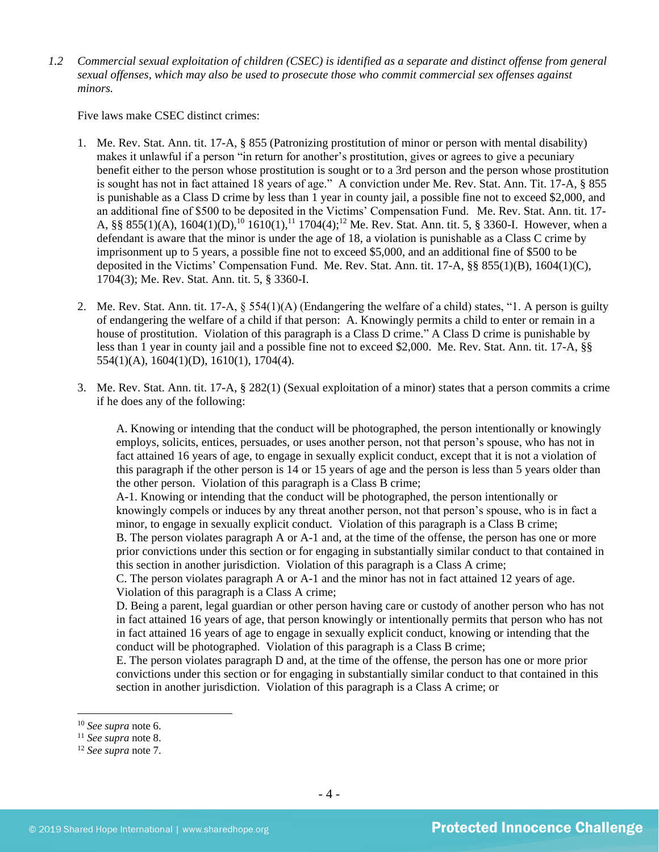*1.2 Commercial sexual exploitation of children (CSEC) is identified as a separate and distinct offense from general sexual offenses, which may also be used to prosecute those who commit commercial sex offenses against minors.*

Five laws make CSEC distinct crimes:

- 1. Me. Rev. Stat. Ann. tit. 17-A, § 855 (Patronizing prostitution of minor or person with mental disability) makes it unlawful if a person "in return for another's prostitution, gives or agrees to give a pecuniary benefit either to the person whose prostitution is sought or to a 3rd person and the person whose prostitution is sought has not in fact attained 18 years of age." A conviction under Me. Rev. Stat. Ann. Tit. 17-A, § 855 is punishable as a Class D crime by less than 1 year in county jail, a possible fine not to exceed \$2,000, and an additional fine of \$500 to be deposited in the Victims' Compensation Fund. Me. Rev. Stat. Ann. tit. 17- A,  $\S\S 855(1)(A)$ ,  $1604(1)(D)$ ,  $^{10} 1610(1)$ ,  $^{11} 1704(4)$ ;  $^{12}$  Me. Rev. Stat. Ann. tit. 5,  $\S 3360$ -I. However, when a defendant is aware that the minor is under the age of 18, a violation is punishable as a Class C crime by imprisonment up to 5 years, a possible fine not to exceed \$5,000, and an additional fine of \$500 to be deposited in the Victims' Compensation Fund. Me. Rev. Stat. Ann. tit. 17-A, §§ 855(1)(B), 1604(1)(C), 1704(3); Me. Rev. Stat. Ann. tit. 5, § 3360-I.
- 2. Me. Rev. Stat. Ann. tit. 17-A, § 554(1)(A) (Endangering the welfare of a child) states, "1. A person is guilty of endangering the welfare of a child if that person: A. Knowingly permits a child to enter or remain in a house of prostitution. Violation of this paragraph is a Class D crime." A Class D crime is punishable by less than 1 year in county jail and a possible fine not to exceed \$2,000. Me. Rev. Stat. Ann. tit. 17-A, §§ 554(1)(A), 1604(1)(D), 1610(1), 1704(4).
- 3. Me. Rev. Stat. Ann. tit. 17-A, § 282(1) (Sexual exploitation of a minor) states that a person commits a crime if he does any of the following:

A. Knowing or intending that the conduct will be photographed, the person intentionally or knowingly employs, solicits, entices, persuades, or uses another person, not that person's spouse, who has not in fact attained 16 years of age, to engage in sexually explicit conduct, except that it is not a violation of this paragraph if the other person is 14 or 15 years of age and the person is less than 5 years older than the other person. Violation of this paragraph is a Class B crime;

A-1. Knowing or intending that the conduct will be photographed, the person intentionally or knowingly compels or induces by any threat another person, not that person's spouse, who is in fact a minor, to engage in sexually explicit conduct. Violation of this paragraph is a Class B crime;

B. The person violates paragraph A or A-1 and, at the time of the offense, the person has one or more prior convictions under this section or for engaging in substantially similar conduct to that contained in this section in another jurisdiction. Violation of this paragraph is a Class A crime;

C. The person violates paragraph A or A-1 and the minor has not in fact attained 12 years of age. Violation of this paragraph is a Class A crime;

D. Being a parent, legal guardian or other person having care or custody of another person who has not in fact attained 16 years of age, that person knowingly or intentionally permits that person who has not in fact attained 16 years of age to engage in sexually explicit conduct, knowing or intending that the conduct will be photographed. Violation of this paragraph is a Class B crime;

E. The person violates paragraph D and, at the time of the offense, the person has one or more prior convictions under this section or for engaging in substantially similar conduct to that contained in this section in another jurisdiction. Violation of this paragraph is a Class A crime; or

<sup>10</sup> *See supra* note [6.](#page-2-0)

<sup>11</sup> *See supra* note 8.

<sup>12</sup> *See supra* note [7.](#page-2-1)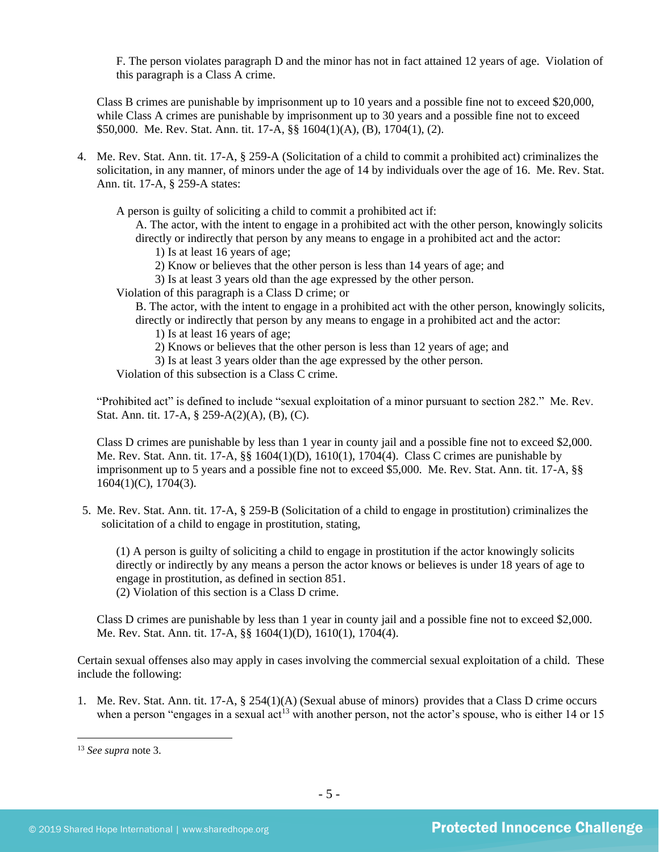F. The person violates paragraph D and the minor has not in fact attained 12 years of age. Violation of this paragraph is a Class A crime.

Class B crimes are punishable by imprisonment up to 10 years and a possible fine not to exceed \$20,000, while Class A crimes are punishable by imprisonment up to 30 years and a possible fine not to exceed \$50,000. Me. Rev. Stat. Ann. tit. 17-A, §§ 1604(1)(A), (B), 1704(1), (2).

4. Me. Rev. Stat. Ann. tit. 17-A, § 259-A (Solicitation of a child to commit a prohibited act) criminalizes the solicitation, in any manner, of minors under the age of 14 by individuals over the age of 16. Me. Rev. Stat. Ann. tit. 17-A, § 259-A states:

A person is guilty of soliciting a child to commit a prohibited act if:

A. The actor, with the intent to engage in a prohibited act with the other person, knowingly solicits directly or indirectly that person by any means to engage in a prohibited act and the actor:

- 1) Is at least 16 years of age;
- 2) Know or believes that the other person is less than 14 years of age; and
- 3) Is at least 3 years old than the age expressed by the other person.
- Violation of this paragraph is a Class D crime; or

B. The actor, with the intent to engage in a prohibited act with the other person, knowingly solicits, directly or indirectly that person by any means to engage in a prohibited act and the actor:

1) Is at least 16 years of age;

- 2) Knows or believes that the other person is less than 12 years of age; and
- 3) Is at least 3 years older than the age expressed by the other person.

Violation of this subsection is a Class C crime.

"Prohibited act" is defined to include "sexual exploitation of a minor pursuant to section 282." Me. Rev. Stat. Ann. tit. 17-A, § 259-A(2)(A), (B), (C).

Class D crimes are punishable by less than 1 year in county jail and a possible fine not to exceed \$2,000. Me. Rev. Stat. Ann. tit. 17-A, §§ 1604(1)(D), 1610(1), 1704(4). Class C crimes are punishable by imprisonment up to 5 years and a possible fine not to exceed \$5,000. Me. Rev. Stat. Ann. tit. 17-A, §§ 1604(1)(C), 1704(3).

5. Me. Rev. Stat. Ann. tit. 17-A, § 259-B (Solicitation of a child to engage in prostitution) criminalizes the solicitation of a child to engage in prostitution, stating,

(1) A person is guilty of soliciting a child to engage in prostitution if the actor knowingly solicits directly or indirectly by any means a person the actor knows or believes is under 18 years of age to engage in prostitution, as defined in section 851. (2) Violation of this section is a Class D crime.

Class D crimes are punishable by less than 1 year in county jail and a possible fine not to exceed \$2,000. Me. Rev. Stat. Ann. tit. 17-A, §§ 1604(1)(D), 1610(1), 1704(4).

Certain sexual offenses also may apply in cases involving the commercial sexual exploitation of a child. These include the following:

1. Me. Rev. Stat. Ann. tit. 17-A, § 254(1)(A) (Sexual abuse of minors) provides that a Class D crime occurs when a person "engages in a sexual  $\text{act}^{13}$  with another person, not the actor's spouse, who is either 14 or 15

<sup>13</sup> *See supra* note [3.](#page-1-0)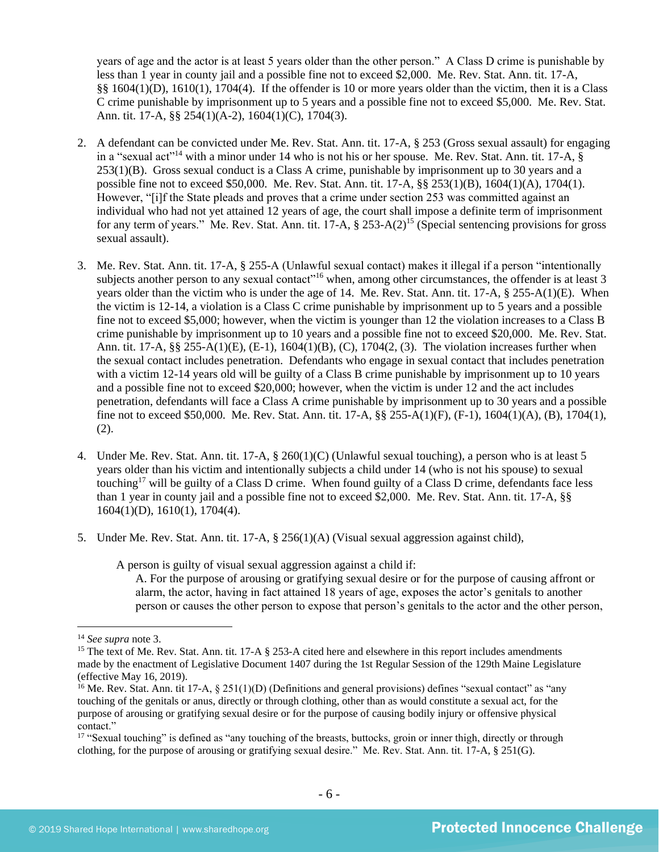years of age and the actor is at least 5 years older than the other person." A Class D crime is punishable by less than 1 year in county jail and a possible fine not to exceed \$2,000. Me. Rev. Stat. Ann. tit. 17-A, §§ 1604(1)(D), 1610(1), 1704(4). If the offender is 10 or more years older than the victim, then it is a Class C crime punishable by imprisonment up to 5 years and a possible fine not to exceed \$5,000. Me. Rev. Stat. Ann. tit. 17-A, §§ 254(1)(A-2), 1604(1)(C), 1704(3).

- 2. A defendant can be convicted under Me. Rev. Stat. Ann. tit. 17-A, § 253 (Gross sexual assault) for engaging in a "sexual act"<sup>14</sup> with a minor under 14 who is not his or her spouse. Me. Rev. Stat. Ann. tit. 17-A, § 253(1)(B). Gross sexual conduct is a Class A crime, punishable by imprisonment up to 30 years and a possible fine not to exceed \$50,000. Me. Rev. Stat. Ann. tit. 17-A, §§ 253(1)(B), 1604(1)(A), 1704(1). However, "[i]f the State pleads and proves that a crime under section 253 was committed against an individual who had not yet attained 12 years of age, the court shall impose a definite term of imprisonment for any term of years." Me. Rev. Stat. Ann. tit.  $17-A$ ,  $\S$  253-A(2)<sup>15</sup> (Special sentencing provisions for gross sexual assault).
- 3. Me. Rev. Stat. Ann. tit. 17-A, § 255-A (Unlawful sexual contact) makes it illegal if a person "intentionally subjects another person to any sexual contact<sup>"16</sup> when, among other circumstances, the offender is at least 3 years older than the victim who is under the age of 14. Me. Rev. Stat. Ann. tit. 17-A, § 255-A(1)(E). When the victim is 12-14, a violation is a Class C crime punishable by imprisonment up to 5 years and a possible fine not to exceed \$5,000; however, when the victim is younger than 12 the violation increases to a Class B crime punishable by imprisonment up to 10 years and a possible fine not to exceed \$20,000. Me. Rev. Stat. Ann. tit. 17-A, §§ 255-A(1)(E), (E-1), 1604(1)(B), (C), 1704(2, (3). The violation increases further when the sexual contact includes penetration. Defendants who engage in sexual contact that includes penetration with a victim 12-14 years old will be guilty of a Class B crime punishable by imprisonment up to 10 years and a possible fine not to exceed \$20,000; however, when the victim is under 12 and the act includes penetration, defendants will face a Class A crime punishable by imprisonment up to 30 years and a possible fine not to exceed \$50,000. Me. Rev. Stat. Ann. tit. 17-A, §§ 255-A(1)(F), (F-1), 1604(1)(A), (B), 1704(1), (2).
- 4. Under Me. Rev. Stat. Ann. tit. 17-A, § 260(1)(C) (Unlawful sexual touching), a person who is at least 5 years older than his victim and intentionally subjects a child under 14 (who is not his spouse) to sexual touching<sup>17</sup> will be guilty of a Class D crime. When found guilty of a Class D crime, defendants face less than 1 year in county jail and a possible fine not to exceed \$2,000. Me. Rev. Stat. Ann. tit. 17-A, §§ 1604(1)(D), 1610(1), 1704(4).
- 5. Under Me. Rev. Stat. Ann. tit. 17-A, § 256(1)(A) (Visual sexual aggression against child),

A person is guilty of visual sexual aggression against a child if:

A. For the purpose of arousing or gratifying sexual desire or for the purpose of causing affront or alarm, the actor, having in fact attained 18 years of age, exposes the actor's genitals to another person or causes the other person to expose that person's genitals to the actor and the other person,

<sup>14</sup> *See supra* note [3.](#page-1-0)

<sup>&</sup>lt;sup>15</sup> The text of Me. Rev. Stat. Ann. tit. 17-A § 253-A cited here and elsewhere in this report includes amendments made by the enactment of Legislative Document 1407 during the 1st Regular Session of the 129th Maine Legislature (effective May 16, 2019).

<sup>&</sup>lt;sup>16</sup> Me. Rev. Stat. Ann. tit 17-A,  $\S 251(1)(D)$  (Definitions and general provisions) defines "sexual contact" as "any touching of the genitals or anus, directly or through clothing, other than as would constitute a sexual act, for the purpose of arousing or gratifying sexual desire or for the purpose of causing bodily injury or offensive physical contact."

<sup>&</sup>lt;sup>17</sup> "Sexual touching" is defined as "any touching of the breasts, buttocks, groin or inner thigh, directly or through clothing, for the purpose of arousing or gratifying sexual desire." Me. Rev. Stat. Ann. tit. 17-A, § 251(G).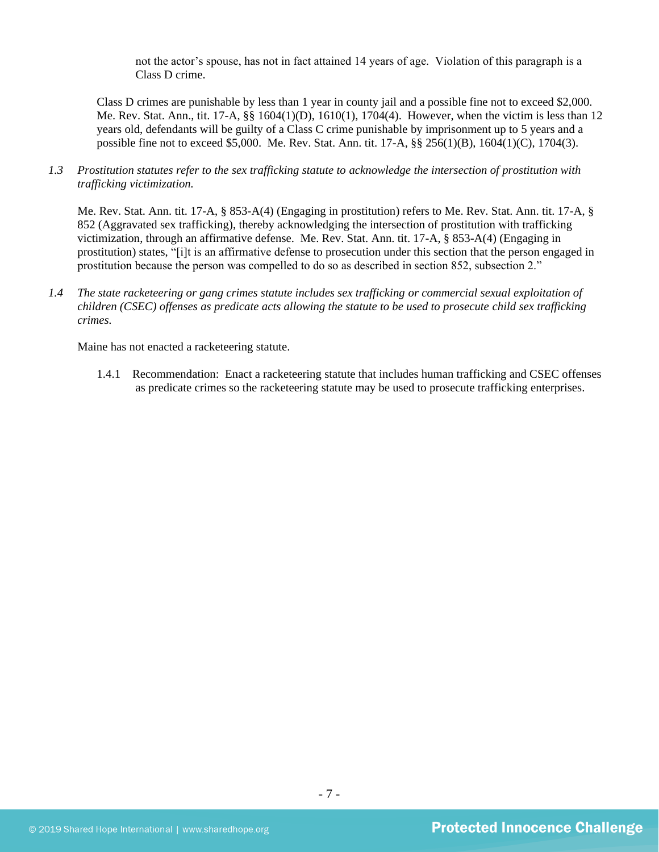not the actor's spouse, has not in fact attained 14 years of age. Violation of this paragraph is a Class D crime.

Class D crimes are punishable by less than 1 year in county jail and a possible fine not to exceed \$2,000. Me. Rev. Stat. Ann., tit. 17-A, §§ 1604(1)(D), 1610(1), 1704(4). However, when the victim is less than 12 years old, defendants will be guilty of a Class C crime punishable by imprisonment up to 5 years and a possible fine not to exceed \$5,000. Me. Rev. Stat. Ann. tit. 17-A, §§ 256(1)(B), 1604(1)(C), 1704(3).

*1.3 Prostitution statutes refer to the sex trafficking statute to acknowledge the intersection of prostitution with trafficking victimization.* 

Me. Rev. Stat. Ann. tit. 17-A, § 853-A(4) (Engaging in prostitution) refers to Me. Rev. Stat. Ann. tit. 17-A, § 852 (Aggravated sex trafficking), thereby acknowledging the intersection of prostitution with trafficking victimization, through an affirmative defense. Me. Rev. Stat. Ann. tit. 17-A, § 853-A(4) (Engaging in prostitution) states, "[i]t is an affirmative defense to prosecution under this section that the person engaged in prostitution because the person was compelled to do so as described in section 852, subsection 2."

*1.4 The state racketeering or gang crimes statute includes sex trafficking or commercial sexual exploitation of children (CSEC) offenses as predicate acts allowing the statute to be used to prosecute child sex trafficking crimes.* 

Maine has not enacted a racketeering statute.

1.4.1 Recommendation: Enact a racketeering statute that includes human trafficking and CSEC offenses as predicate crimes so the racketeering statute may be used to prosecute trafficking enterprises.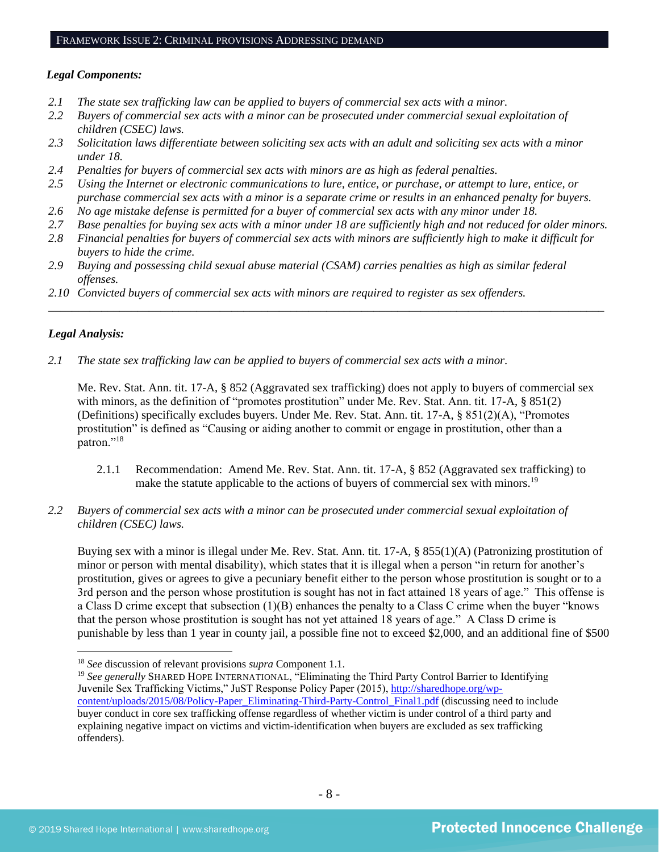#### *Legal Components:*

- *2.1 The state sex trafficking law can be applied to buyers of commercial sex acts with a minor.*
- *2.2 Buyers of commercial sex acts with a minor can be prosecuted under commercial sexual exploitation of children (CSEC) laws.*
- *2.3 Solicitation laws differentiate between soliciting sex acts with an adult and soliciting sex acts with a minor under 18.*
- *2.4 Penalties for buyers of commercial sex acts with minors are as high as federal penalties.*
- *2.5 Using the Internet or electronic communications to lure, entice, or purchase, or attempt to lure, entice, or purchase commercial sex acts with a minor is a separate crime or results in an enhanced penalty for buyers.*
- *2.6 No age mistake defense is permitted for a buyer of commercial sex acts with any minor under 18.*
- *2.7 Base penalties for buying sex acts with a minor under 18 are sufficiently high and not reduced for older minors.*
- *2.8 Financial penalties for buyers of commercial sex acts with minors are sufficiently high to make it difficult for buyers to hide the crime.*

\_\_\_\_\_\_\_\_\_\_\_\_\_\_\_\_\_\_\_\_\_\_\_\_\_\_\_\_\_\_\_\_\_\_\_\_\_\_\_\_\_\_\_\_\_\_\_\_\_\_\_\_\_\_\_\_\_\_\_\_\_\_\_\_\_\_\_\_\_\_\_\_\_\_\_\_\_\_\_\_\_\_\_\_\_\_\_\_\_\_\_\_\_\_

- *2.9 Buying and possessing child sexual abuse material (CSAM) carries penalties as high as similar federal offenses.*
- *2.10 Convicted buyers of commercial sex acts with minors are required to register as sex offenders.*

#### *Legal Analysis:*

*2.1 The state sex trafficking law can be applied to buyers of commercial sex acts with a minor.* 

Me. Rev. Stat. Ann. tit. 17-A, § 852 (Aggravated sex trafficking) does not apply to buyers of commercial sex with minors, as the definition of "promotes prostitution" under Me. Rev. Stat. Ann. tit. 17-A, § 851(2) (Definitions) specifically excludes buyers. Under Me. Rev. Stat. Ann. tit. 17-A, § 851(2)(A), "Promotes prostitution" is defined as "Causing or aiding another to commit or engage in prostitution, other than a patron."<sup>18</sup>

- 2.1.1 Recommendation: Amend Me. Rev. Stat. Ann. tit. 17-A, § 852 (Aggravated sex trafficking) to make the statute applicable to the actions of buyers of commercial sex with minors.<sup>19</sup>
- *2.2 Buyers of commercial sex acts with a minor can be prosecuted under commercial sexual exploitation of children (CSEC) laws.*

Buying sex with a minor is illegal under Me. Rev. Stat. Ann. tit. 17-A, § 855(1)(A) (Patronizing prostitution of minor or person with mental disability), which states that it is illegal when a person "in return for another's prostitution, gives or agrees to give a pecuniary benefit either to the person whose prostitution is sought or to a 3rd person and the person whose prostitution is sought has not in fact attained 18 years of age." This offense is a Class D crime except that subsection (1)(B) enhances the penalty to a Class C crime when the buyer "knows that the person whose prostitution is sought has not yet attained 18 years of age." A Class D crime is punishable by less than 1 year in county jail, a possible fine not to exceed \$2,000, and an additional fine of \$500

<sup>18</sup> *See* discussion of relevant provisions *supra* Component 1.1.

<sup>&</sup>lt;sup>19</sup> See generally SHARED HOPE INTERNATIONAL, "Eliminating the Third Party Control Barrier to Identifying Juvenile Sex Trafficking Victims," JuST Response Policy Paper (2015), [http://sharedhope.org/wp](http://sharedhope.org/wp-content/uploads/2015/08/Policy-Paper_Eliminating-Third-Party-Control_Final1.pdf)[content/uploads/2015/08/Policy-Paper\\_Eliminating-Third-Party-Control\\_Final1.pdf](http://sharedhope.org/wp-content/uploads/2015/08/Policy-Paper_Eliminating-Third-Party-Control_Final1.pdf) (discussing need to include buyer conduct in core sex trafficking offense regardless of whether victim is under control of a third party and explaining negative impact on victims and victim-identification when buyers are excluded as sex trafficking offenders).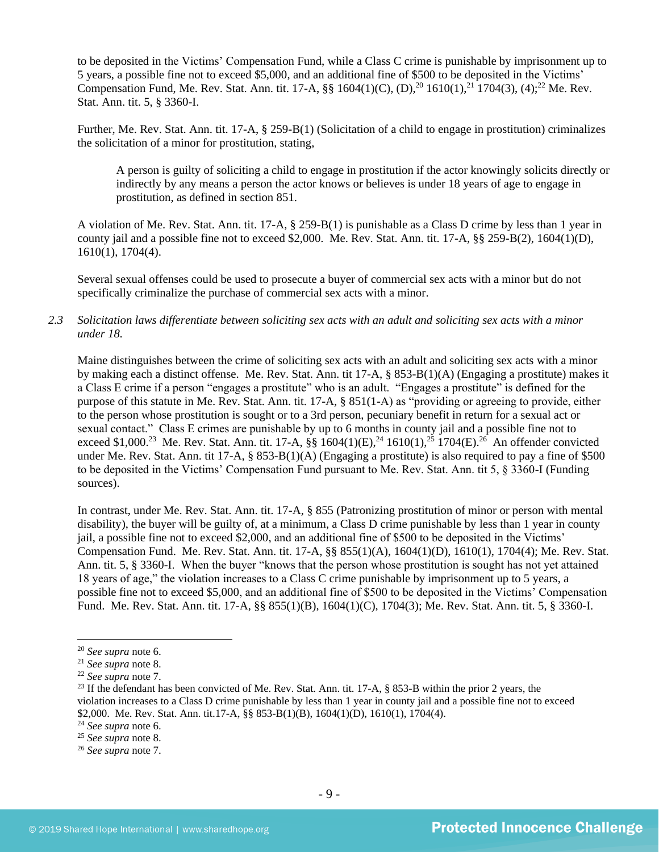to be deposited in the Victims' Compensation Fund, while a Class C crime is punishable by imprisonment up to 5 years, a possible fine not to exceed \$5,000, and an additional fine of \$500 to be deposited in the Victims' Compensation Fund, Me. Rev. Stat. Ann. tit. 17-A,  $\S$ § 1604(1)(C), (D),<sup>20</sup> 1610(1),<sup>21</sup> 1704(3), (4);<sup>22</sup> Me. Rev. Stat. Ann. tit. 5, § 3360-I.

Further, Me. Rev. Stat. Ann. tit. 17-A, § 259-B(1) (Solicitation of a child to engage in prostitution) criminalizes the solicitation of a minor for prostitution, stating,

A person is guilty of soliciting a child to engage in prostitution if the actor knowingly solicits directly or indirectly by any means a person the actor knows or believes is under 18 years of age to engage in prostitution, as defined in section 851.

A violation of Me. Rev. Stat. Ann. tit. 17-A, § 259-B(1) is punishable as a Class D crime by less than 1 year in county jail and a possible fine not to exceed \$2,000. Me. Rev. Stat. Ann. tit. 17-A, §§ 259-B(2), 1604(1)(D), 1610(1), 1704(4).

Several sexual offenses could be used to prosecute a buyer of commercial sex acts with a minor but do not specifically criminalize the purchase of commercial sex acts with a minor.

*2.3 Solicitation laws differentiate between soliciting sex acts with an adult and soliciting sex acts with a minor under 18.*

Maine distinguishes between the crime of soliciting sex acts with an adult and soliciting sex acts with a minor by making each a distinct offense. Me. Rev. Stat. Ann. tit 17-A, § 853-B(1)(A) (Engaging a prostitute) makes it a Class E crime if a person "engages a prostitute" who is an adult. "Engages a prostitute" is defined for the purpose of this statute in Me. Rev. Stat. Ann. tit. 17-A, § 851(1-A) as "providing or agreeing to provide, either to the person whose prostitution is sought or to a 3rd person, pecuniary benefit in return for a sexual act or sexual contact." Class E crimes are punishable by up to 6 months in county jail and a possible fine not to exceed \$1,000.<sup>23</sup> Me. Rev. Stat. Ann. tit. 17-A,  $\S$ § 1604(1)(E),<sup>24</sup> 1610(1),<sup>25</sup> 1704(E).<sup>26</sup> An offender convicted under Me. Rev. Stat. Ann. tit 17-A, § 853-B(1)(A) (Engaging a prostitute) is also required to pay a fine of \$500 to be deposited in the Victims' Compensation Fund pursuant to Me. Rev. Stat. Ann. tit 5, § 3360-I (Funding sources).

In contrast, under Me. Rev. Stat. Ann. tit. 17-A, § 855 (Patronizing prostitution of minor or person with mental disability), the buyer will be guilty of, at a minimum, a Class D crime punishable by less than 1 year in county jail, a possible fine not to exceed \$2,000, and an additional fine of \$500 to be deposited in the Victims' Compensation Fund. Me. Rev. Stat. Ann. tit. 17-A, §§ 855(1)(A), 1604(1)(D), 1610(1), 1704(4); Me. Rev. Stat. Ann. tit. 5, § 3360-I. When the buyer "knows that the person whose prostitution is sought has not yet attained 18 years of age," the violation increases to a Class C crime punishable by imprisonment up to 5 years, a possible fine not to exceed \$5,000, and an additional fine of \$500 to be deposited in the Victims' Compensation Fund. Me. Rev. Stat. Ann. tit. 17-A, §§ 855(1)(B), 1604(1)(C), 1704(3); Me. Rev. Stat. Ann. tit. 5, § 3360-I.

<sup>20</sup> *See supra* note [6.](#page-2-0)

<sup>21</sup> *See supra* note 8.

<sup>22</sup> *See supra* note [7.](#page-2-1)

<sup>&</sup>lt;sup>23</sup> If the defendant has been convicted of Me. Rev. Stat. Ann. tit. 17-A, § 853-B within the prior 2 years, the violation increases to a Class D crime punishable by less than 1 year in county jail and a possible fine not to exceed \$2,000. Me. Rev. Stat. Ann. tit.17-A, §§ 853-B(1)(B), 1604(1)(D), 1610(1), 1704(4).

<sup>24</sup> *See supra* note [6.](#page-2-0)

<sup>25</sup> *See supra* note 8.

<sup>26</sup> *See supra* note [7.](#page-2-1)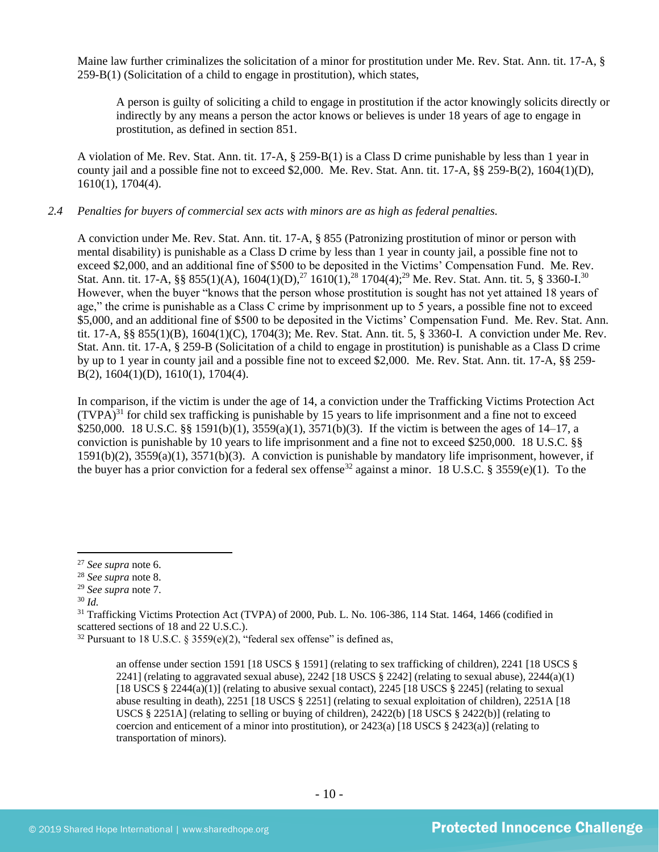Maine law further criminalizes the solicitation of a minor for prostitution under Me. Rev. Stat. Ann. tit. 17-A, § 259-B(1) (Solicitation of a child to engage in prostitution), which states,

A person is guilty of soliciting a child to engage in prostitution if the actor knowingly solicits directly or indirectly by any means a person the actor knows or believes is under 18 years of age to engage in prostitution, as defined in section 851.

A violation of Me. Rev. Stat. Ann. tit. 17-A, § 259-B(1) is a Class D crime punishable by less than 1 year in county jail and a possible fine not to exceed \$2,000. Me. Rev. Stat. Ann. tit. 17-A, §§ 259-B(2), 1604(1)(D), 1610(1), 1704(4).

#### *2.4 Penalties for buyers of commercial sex acts with minors are as high as federal penalties.*

A conviction under Me. Rev. Stat. Ann. tit. 17-A, § 855 (Patronizing prostitution of minor or person with mental disability) is punishable as a Class D crime by less than 1 year in county jail, a possible fine not to exceed \$2,000, and an additional fine of \$500 to be deposited in the Victims' Compensation Fund. Me. Rev. Stat. Ann. tit. 17-A, §§ 855(1)(A), 1604(1)(D),<sup>27</sup> 1610(1),<sup>28</sup> 1704(4);<sup>29</sup> Me. Rev. Stat. Ann. tit. 5, § 3360-I.<sup>30</sup> However, when the buyer "knows that the person whose prostitution is sought has not yet attained 18 years of age," the crime is punishable as a Class C crime by imprisonment up to 5 years, a possible fine not to exceed \$5,000, and an additional fine of \$500 to be deposited in the Victims' Compensation Fund. Me. Rev. Stat. Ann. tit. 17-A, §§ 855(1)(B), 1604(1)(C), 1704(3); Me. Rev. Stat. Ann. tit. 5, § 3360-I. A conviction under Me. Rev. Stat. Ann. tit. 17-A, § 259-B (Solicitation of a child to engage in prostitution) is punishable as a Class D crime by up to 1 year in county jail and a possible fine not to exceed \$2,000. Me. Rev. Stat. Ann. tit. 17-A, §§ 259- B(2), 1604(1)(D), 1610(1), 1704(4).

<span id="page-9-0"></span>In comparison, if the victim is under the age of 14, a conviction under the Trafficking Victims Protection Act  $(TVPA)^{31}$  for child sex trafficking is punishable by 15 years to life imprisonment and a fine not to exceed \$250,000. 18 U.S.C. §§ 1591(b)(1), 3559(a)(1), 3571(b)(3). If the victim is between the ages of 14–17, a conviction is punishable by 10 years to life imprisonment and a fine not to exceed \$250,000. 18 U.S.C. §§ 1591(b)(2), 3559(a)(1), 3571(b)(3). A conviction is punishable by mandatory life imprisonment, however, if the buyer has a prior conviction for a federal sex offense<sup>32</sup> against a minor. 18 U.S.C. § 3559(e)(1). To the

<sup>30</sup> *Id.*

<sup>31</sup> Trafficking Victims Protection Act (TVPA) of 2000, Pub. L. No. 106-386, 114 Stat. 1464, 1466 (codified in scattered sections of 18 and 22 U.S.C.).

<sup>27</sup> *See supra* note [6.](#page-2-0)

<sup>28</sup> *See supra* note 8.

<sup>29</sup> *See supra* note [7.](#page-2-1)

<sup>&</sup>lt;sup>32</sup> Pursuant to 18 U.S.C. § 3559(e)(2), "federal sex offense" is defined as,

an offense under section 1591 [18 USCS § 1591] (relating to sex trafficking of children), 2241 [18 USCS § 2241] (relating to aggravated sexual abuse), 2242 [18 USCS  $\S$  2242] (relating to sexual abuse), 2244(a)(1) [18 USCS  $\S 2244(a)(1)$ ] (relating to abusive sexual contact), 2245 [18 USCS  $\S 2245$ ] (relating to sexual abuse resulting in death), 2251 [18 USCS § 2251] (relating to sexual exploitation of children), 2251A [18 USCS  $\S 2251A$ ] (relating to selling or buying of children), 2422(b) [18 USCS  $\S 2422(b)$ ] (relating to coercion and enticement of a minor into prostitution), or  $2423(a)$  [18 USCS §  $2423(a)$ ] (relating to transportation of minors).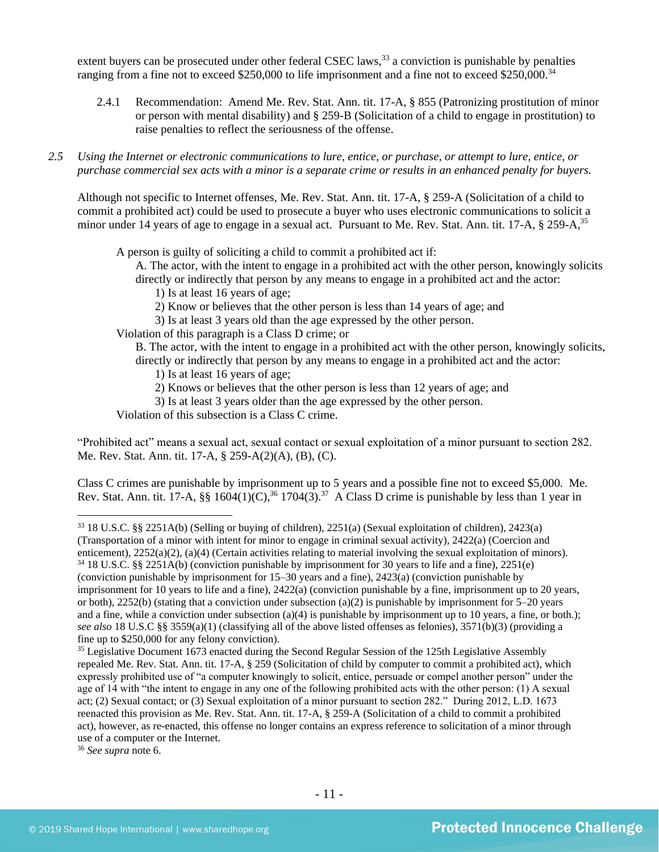extent buyers can be prosecuted under other federal CSEC laws,<sup>33</sup> a conviction is punishable by penalties ranging from a fine not to exceed \$250,000 to life imprisonment and a fine not to exceed \$250,000.<sup>34</sup>

- 2.4.1 Recommendation: Amend Me. Rev. Stat. Ann. tit. 17-A, § 855 (Patronizing prostitution of minor or person with mental disability) and § 259-B (Solicitation of a child to engage in prostitution) to raise penalties to reflect the seriousness of the offense.
- *2.5 Using the Internet or electronic communications to lure, entice, or purchase, or attempt to lure, entice, or purchase commercial sex acts with a minor is a separate crime or results in an enhanced penalty for buyers.*

Although not specific to Internet offenses, Me. Rev. Stat. Ann. tit. 17-A, § 259-A (Solicitation of a child to commit a prohibited act) could be used to prosecute a buyer who uses electronic communications to solicit a minor under 14 years of age to engage in a sexual act. Pursuant to Me. Rev. Stat. Ann. tit. 17-A, § 259-A,<sup>35</sup>

A person is guilty of soliciting a child to commit a prohibited act if:

A. The actor, with the intent to engage in a prohibited act with the other person, knowingly solicits directly or indirectly that person by any means to engage in a prohibited act and the actor:

- 1) Is at least 16 years of age;
- 2) Know or believes that the other person is less than 14 years of age; and

3) Is at least 3 years old than the age expressed by the other person.

Violation of this paragraph is a Class D crime; or

- B. The actor, with the intent to engage in a prohibited act with the other person, knowingly solicits, directly or indirectly that person by any means to engage in a prohibited act and the actor:
	- 1) Is at least 16 years of age;
	- 2) Knows or believes that the other person is less than 12 years of age; and
	- 3) Is at least 3 years older than the age expressed by the other person.

Violation of this subsection is a Class C crime.

"Prohibited act" means a sexual act, sexual contact or sexual exploitation of a minor pursuant to section 282. Me. Rev. Stat. Ann. tit. 17-A, § 259-A(2)(A), (B), (C).

Class C crimes are punishable by imprisonment up to 5 years and a possible fine not to exceed \$5,000. Me. Rev. Stat. Ann. tit. 17-A,  $\S\S 1604(1)(C)$ ,  $36$  1704(3).  $37$  A Class D crime is punishable by less than 1 year in

<sup>36</sup> *See supra* note [6.](#page-2-0)

<sup>33</sup> 18 U.S.C. §§ 2251A(b) (Selling or buying of children), 2251(a) (Sexual exploitation of children), 2423(a) (Transportation of a minor with intent for minor to engage in criminal sexual activity), 2422(a) (Coercion and enticement), 2252(a)(2), (a)(4) (Certain activities relating to material involving the sexual exploitation of minors).

<sup>34</sup> 18 U.S.C. §§ 2251A(b) (conviction punishable by imprisonment for 30 years to life and a fine), 2251(e) (conviction punishable by imprisonment for 15–30 years and a fine), 2423(a) (conviction punishable by imprisonment for 10 years to life and a fine), 2422(a) (conviction punishable by a fine, imprisonment up to 20 years, or both),  $2252(b)$  (stating that a conviction under subsection (a)(2) is punishable by imprisonment for 5–20 years and a fine, while a conviction under subsection  $(a)(4)$  is punishable by imprisonment up to 10 years, a fine, or both.); *see also* 18 U.S.C §§ 3559(a)(1) (classifying all of the above listed offenses as felonies), 3571(b)(3) (providing a fine up to \$250,000 for any felony conviction).

<sup>&</sup>lt;sup>35</sup> Legislative Document 1673 enacted during the Second Regular Session of the 125th Legislative Assembly repealed Me. Rev. Stat. Ann. tit. 17-A, § 259 (Solicitation of child by computer to commit a prohibited act), which expressly prohibited use of "a computer knowingly to solicit, entice, persuade or compel another person" under the age of 14 with "the intent to engage in any one of the following prohibited acts with the other person: (1) A sexual act; (2) Sexual contact; or (3) Sexual exploitation of a minor pursuant to section 282." During 2012, L.D. 1673 reenacted this provision as Me. Rev. Stat. Ann. tit. 17-A, § 259-A (Solicitation of a child to commit a prohibited act), however, as re-enacted, this offense no longer contains an express reference to solicitation of a minor through use of a computer or the Internet.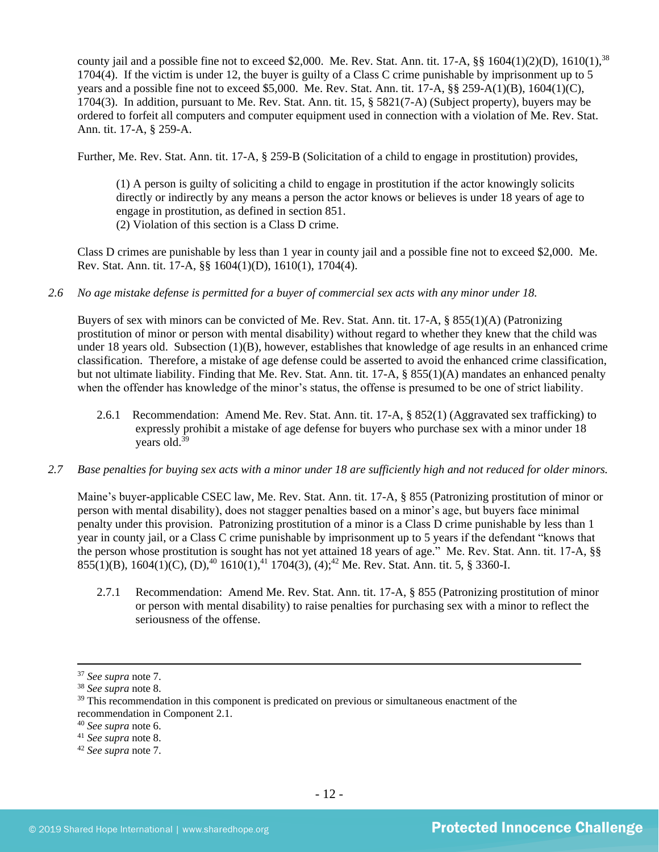county jail and a possible fine not to exceed \$2,000. Me. Rev. Stat. Ann. tit. 17-A,  $\S$ § 1604(1)(2)(D), 1610(1),<sup>38</sup> 1704(4). If the victim is under 12, the buyer is guilty of a Class C crime punishable by imprisonment up to 5 years and a possible fine not to exceed \$5,000. Me. Rev. Stat. Ann. tit. 17-A, §§ 259-A(1)(B), 1604(1)(C), 1704(3). In addition, pursuant to Me. Rev. Stat. Ann. tit. 15, § 5821(7-A) (Subject property), buyers may be ordered to forfeit all computers and computer equipment used in connection with a violation of Me. Rev. Stat. Ann. tit. 17-A, § 259-A.

Further, Me. Rev. Stat. Ann. tit. 17-A, § 259-B (Solicitation of a child to engage in prostitution) provides,

(1) A person is guilty of soliciting a child to engage in prostitution if the actor knowingly solicits directly or indirectly by any means a person the actor knows or believes is under 18 years of age to engage in prostitution, as defined in section 851. (2) Violation of this section is a Class D crime.

Class D crimes are punishable by less than 1 year in county jail and a possible fine not to exceed \$2,000. Me. Rev. Stat. Ann. tit. 17-A, §§ 1604(1)(D), 1610(1), 1704(4).

#### *2.6 No age mistake defense is permitted for a buyer of commercial sex acts with any minor under 18.*

Buyers of sex with minors can be convicted of Me. Rev. Stat. Ann. tit. 17-A, § 855(1)(A) (Patronizing prostitution of minor or person with mental disability) without regard to whether they knew that the child was under 18 years old. Subsection (1)(B), however, establishes that knowledge of age results in an enhanced crime classification. Therefore, a mistake of age defense could be asserted to avoid the enhanced crime classification, but not ultimate liability. Finding that Me. Rev. Stat. Ann. tit. 17-A, § 855(1)(A) mandates an enhanced penalty when the offender has knowledge of the minor's status, the offense is presumed to be one of strict liability.

- 2.6.1 Recommendation: Amend Me. Rev. Stat. Ann. tit. 17-A, § 852(1) (Aggravated sex trafficking) to expressly prohibit a mistake of age defense for buyers who purchase sex with a minor under 18 years old.<sup>39</sup>
- *2.7 Base penalties for buying sex acts with a minor under 18 are sufficiently high and not reduced for older minors.*

Maine's buyer-applicable CSEC law, Me. Rev. Stat. Ann. tit. 17-A, § 855 (Patronizing prostitution of minor or person with mental disability), does not stagger penalties based on a minor's age, but buyers face minimal penalty under this provision. Patronizing prostitution of a minor is a Class D crime punishable by less than 1 year in county jail, or a Class C crime punishable by imprisonment up to 5 years if the defendant "knows that the person whose prostitution is sought has not yet attained 18 years of age." Me. Rev. Stat. Ann. tit. 17-A, §§  $855(1)(B)$ ,  $1604(1)(C)$ ,  $(D)$ ,  $40$   $1610(1)$ ,  $41$   $1704(3)$ ,  $(4)$ ;  $42$  Me. Rev. Stat. Ann. tit. 5, § 3360-I.

2.7.1 Recommendation: Amend Me. Rev. Stat. Ann. tit. 17-A, § 855 (Patronizing prostitution of minor or person with mental disability) to raise penalties for purchasing sex with a minor to reflect the seriousness of the offense.

<sup>37</sup> *See supra* note [7.](#page-2-1)

<sup>38</sup> *See supra* note 8.

<sup>&</sup>lt;sup>39</sup> This recommendation in this component is predicated on previous or simultaneous enactment of the recommendation in Component 2.1.

<sup>40</sup> *See supra* note [6.](#page-2-0)

<sup>41</sup> *See supra* note 8.

<sup>42</sup> *See supra* note [7.](#page-2-1)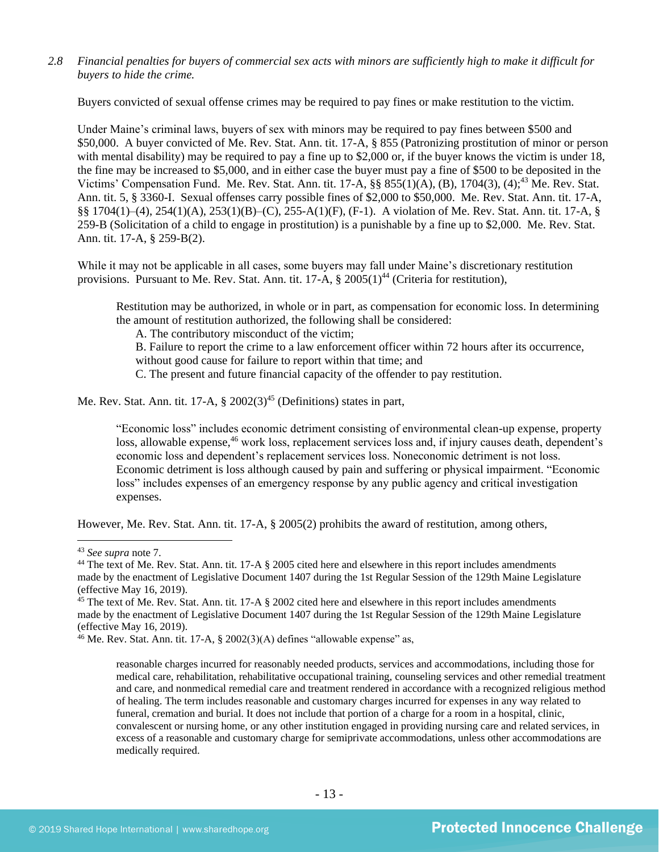*2.8 Financial penalties for buyers of commercial sex acts with minors are sufficiently high to make it difficult for buyers to hide the crime.*

Buyers convicted of sexual offense crimes may be required to pay fines or make restitution to the victim.

Under Maine's criminal laws, buyers of sex with minors may be required to pay fines between \$500 and \$50,000. A buyer convicted of Me. Rev. Stat. Ann. tit. 17-A, § 855 (Patronizing prostitution of minor or person with mental disability) may be required to pay a fine up to \$2,000 or, if the buyer knows the victim is under 18, the fine may be increased to \$5,000, and in either case the buyer must pay a fine of \$500 to be deposited in the Victims' Compensation Fund. Me. Rev. Stat. Ann. tit. 17-A, §§ 855(1)(A), (B), 1704(3), (4);<sup>43</sup> Me. Rev. Stat. Ann. tit. 5, § 3360-I. Sexual offenses carry possible fines of \$2,000 to \$50,000. Me. Rev. Stat. Ann. tit. 17-A, §§ 1704(1)–(4), 254(1)(A), 253(1)(B)–(C), 255-A(1)(F), (F-1). A violation of Me. Rev. Stat. Ann. tit. 17-A, § 259-B (Solicitation of a child to engage in prostitution) is a punishable by a fine up to \$2,000. Me. Rev. Stat. Ann. tit. 17-A, § 259-B(2).

While it may not be applicable in all cases, some buyers may fall under Maine's discretionary restitution provisions. Pursuant to Me. Rev. Stat. Ann. tit.  $17-A$ ,  $\S 2005(1)^{44}$  (Criteria for restitution),

Restitution may be authorized, in whole or in part, as compensation for economic loss. In determining the amount of restitution authorized, the following shall be considered:

<span id="page-12-0"></span>A. The contributory misconduct of the victim;

B. Failure to report the crime to a law enforcement officer within 72 hours after its occurrence, without good cause for failure to report within that time; and

C. The present and future financial capacity of the offender to pay restitution.

Me. Rev. Stat. Ann. tit. 17-A,  $\S 2002(3)^{45}$  (Definitions) states in part,

"Economic loss" includes economic detriment consisting of environmental clean-up expense, property loss, allowable expense,<sup>46</sup> work loss, replacement services loss and, if injury causes death, dependent's economic loss and dependent's replacement services loss. Noneconomic detriment is not loss. Economic detriment is loss although caused by pain and suffering or physical impairment. "Economic loss" includes expenses of an emergency response by any public agency and critical investigation expenses.

However, Me. Rev. Stat. Ann. tit. 17-A, § 2005(2) prohibits the award of restitution, among others,

<sup>43</sup> *See supra* note [7.](#page-2-1)

<sup>&</sup>lt;sup>44</sup> The text of Me. Rev. Stat. Ann. tit. 17-A § 2005 cited here and elsewhere in this report includes amendments made by the enactment of Legislative Document 1407 during the 1st Regular Session of the 129th Maine Legislature (effective May 16, 2019).

<sup>&</sup>lt;sup>45</sup> The text of Me. Rev. Stat. Ann. tit. 17-A § 2002 cited here and elsewhere in this report includes amendments made by the enactment of Legislative Document 1407 during the 1st Regular Session of the 129th Maine Legislature (effective May 16, 2019).

<sup>&</sup>lt;sup>46</sup> Me. Rev. Stat. Ann. tit. 17-A, § 2002(3)(A) defines "allowable expense" as,

reasonable charges incurred for reasonably needed products, services and accommodations, including those for medical care, rehabilitation, rehabilitative occupational training, counseling services and other remedial treatment and care, and nonmedical remedial care and treatment rendered in accordance with a recognized religious method of healing. The term includes reasonable and customary charges incurred for expenses in any way related to funeral, cremation and burial. It does not include that portion of a charge for a room in a hospital, clinic, convalescent or nursing home, or any other institution engaged in providing nursing care and related services, in excess of a reasonable and customary charge for semiprivate accommodations, unless other accommodations are medically required.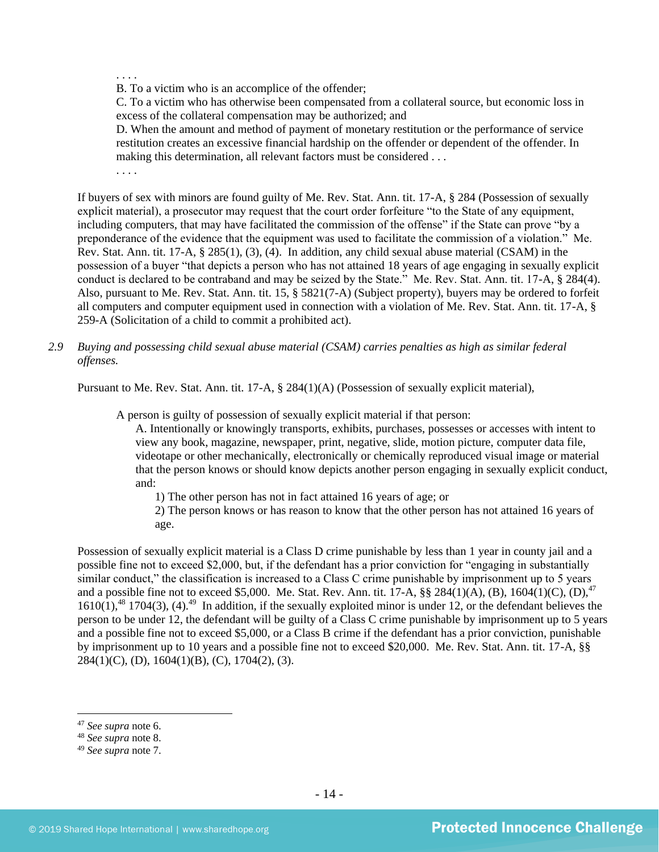. . . .

B. To a victim who is an accomplice of the offender;

C. To a victim who has otherwise been compensated from a collateral source, but economic loss in excess of the collateral compensation may be authorized; and

D. When the amount and method of payment of monetary restitution or the performance of service restitution creates an excessive financial hardship on the offender or dependent of the offender. In making this determination, all relevant factors must be considered . . .

. . . .

If buyers of sex with minors are found guilty of Me. Rev. Stat. Ann. tit. 17-A, § 284 (Possession of sexually explicit material), a prosecutor may request that the court order forfeiture "to the State of any equipment, including computers, that may have facilitated the commission of the offense" if the State can prove "by a preponderance of the evidence that the equipment was used to facilitate the commission of a violation." Me. Rev. Stat. Ann. tit. 17-A, § 285(1), (3), (4). In addition, any child sexual abuse material (CSAM) in the possession of a buyer "that depicts a person who has not attained 18 years of age engaging in sexually explicit conduct is declared to be contraband and may be seized by the State." Me. Rev. Stat. Ann. tit. 17-A, § 284(4). Also, pursuant to Me. Rev. Stat. Ann. tit. 15, § 5821(7-A) (Subject property), buyers may be ordered to forfeit all computers and computer equipment used in connection with a violation of Me. Rev. Stat. Ann. tit. 17-A, § 259-A (Solicitation of a child to commit a prohibited act).

*2.9 Buying and possessing child sexual abuse material (CSAM) carries penalties as high as similar federal offenses.*

Pursuant to Me. Rev. Stat. Ann. tit. 17-A, § 284(1)(A) (Possession of sexually explicit material),

A person is guilty of possession of sexually explicit material if that person:

A. Intentionally or knowingly transports, exhibits, purchases, possesses or accesses with intent to view any book, magazine, newspaper, print, negative, slide, motion picture, computer data file, videotape or other mechanically, electronically or chemically reproduced visual image or material that the person knows or should know depicts another person engaging in sexually explicit conduct, and:

1) The other person has not in fact attained 16 years of age; or

2) The person knows or has reason to know that the other person has not attained 16 years of age.

Possession of sexually explicit material is a Class D crime punishable by less than 1 year in county jail and a possible fine not to exceed \$2,000, but, if the defendant has a prior conviction for "engaging in substantially similar conduct," the classification is increased to a Class C crime punishable by imprisonment up to 5 years and a possible fine not to exceed \$5,000. Me. Stat. Rev. Ann. tit. 17-A,  $\S$ § 284(1)(A), (B), 1604(1)(C), (D),<sup>47</sup>  $1610(1)$ ,<sup>48</sup> 1704(3), (4).<sup>49</sup> In addition, if the sexually exploited minor is under 12, or the defendant believes the person to be under 12, the defendant will be guilty of a Class C crime punishable by imprisonment up to 5 years and a possible fine not to exceed \$5,000, or a Class B crime if the defendant has a prior conviction, punishable by imprisonment up to 10 years and a possible fine not to exceed \$20,000. Me. Rev. Stat. Ann. tit. 17-A, §§  $284(1)(C)$ , (D),  $1604(1)(B)$ , (C),  $1704(2)$ , (3).

<sup>47</sup> *See supra* note [6.](#page-2-0)

<sup>48</sup> *See supra* note 8.

<sup>49</sup> *See supra* note [7.](#page-2-1)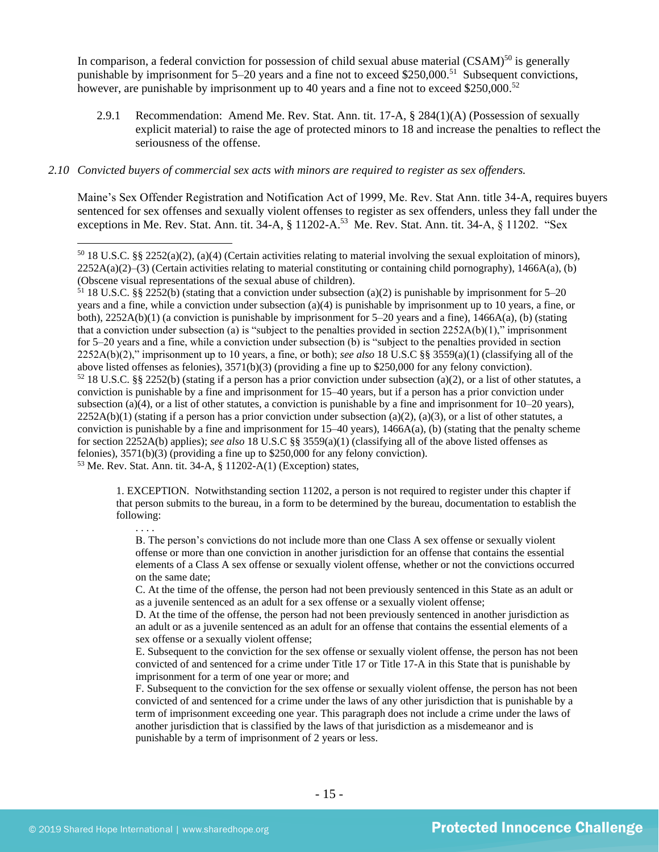In comparison, a federal conviction for possession of child sexual abuse material  $(CSAM)^{50}$  is generally punishable by imprisonment for 5–20 years and a fine not to exceed \$250,000.<sup>51</sup> Subsequent convictions, however, are punishable by imprisonment up to 40 years and a fine not to exceed \$250,000.<sup>52</sup>

2.9.1 Recommendation: Amend Me. Rev. Stat. Ann. tit. 17-A, § 284(1)(A) (Possession of sexually explicit material) to raise the age of protected minors to 18 and increase the penalties to reflect the seriousness of the offense.

#### *2.10 Convicted buyers of commercial sex acts with minors are required to register as sex offenders.*

<span id="page-14-0"></span>Maine's Sex Offender Registration and Notification Act of 1999, Me. Rev. Stat Ann. title 34-A, requires buyers sentenced for sex offenses and sexually violent offenses to register as sex offenders, unless they fall under the exceptions in Me. Rev. Stat. Ann. tit. 34-A, § 11202-A.<sup>53</sup> Me. Rev. Stat. Ann. tit. 34-A, § 11202. "Sex

<sup>51</sup> 18 U.S.C. §§ 2252(b) (stating that a conviction under subsection (a)(2) is punishable by imprisonment for 5–20 years and a fine, while a conviction under subsection (a)(4) is punishable by imprisonment up to 10 years, a fine, or both),  $2252A(b)(1)$  (a conviction is punishable by imprisonment for 5–20 years and a fine),  $1466A(a)$ , (b) (stating that a conviction under subsection (a) is "subject to the penalties provided in section  $2252A(b)(1)$ ," imprisonment for 5–20 years and a fine, while a conviction under subsection (b) is "subject to the penalties provided in section 2252A(b)(2)," imprisonment up to 10 years, a fine, or both); *see also* 18 U.S.C §§ 3559(a)(1) (classifying all of the above listed offenses as felonies), 3571(b)(3) (providing a fine up to \$250,000 for any felony conviction).  $52$  18 U.S.C. §§ 2252(b) (stating if a person has a prior conviction under subsection (a)(2), or a list of other statutes, a conviction is punishable by a fine and imprisonment for 15–40 years, but if a person has a prior conviction under subsection (a)(4), or a list of other statutes, a conviction is punishable by a fine and imprisonment for  $10-20$  years),  $2252A(b)(1)$  (stating if a person has a prior conviction under subsection (a)(2), (a)(3), or a list of other statutes, a conviction is punishable by a fine and imprisonment for  $15-40$  years),  $1466A(a)$ , (b) (stating that the penalty scheme for section 2252A(b) applies); *see also* 18 U.S.C §§ 3559(a)(1) (classifying all of the above listed offenses as felonies), 3571(b)(3) (providing a fine up to \$250,000 for any felony conviction). <sup>53</sup> Me. Rev. Stat. Ann. tit. 34-A, § 11202-A(1) (Exception) states,

1. EXCEPTION. Notwithstanding section 11202, a person is not required to register under this chapter if that person submits to the bureau, in a form to be determined by the bureau, documentation to establish the following:

. . . .

B. The person's convictions do not include more than one Class A sex offense or sexually violent offense or more than one conviction in another jurisdiction for an offense that contains the essential elements of a Class A sex offense or sexually violent offense, whether or not the convictions occurred on the same date;

C. At the time of the offense, the person had not been previously sentenced in this State as an adult or as a juvenile sentenced as an adult for a sex offense or a sexually violent offense;

D. At the time of the offense, the person had not been previously sentenced in another jurisdiction as an adult or as a juvenile sentenced as an adult for an offense that contains the essential elements of a sex offense or a sexually violent offense;

E. Subsequent to the conviction for the sex offense or sexually violent offense, the person has not been convicted of and sentenced for a crime under Title 17 or Title 17-A in this State that is punishable by imprisonment for a term of one year or more; and

F. Subsequent to the conviction for the sex offense or sexually violent offense, the person has not been convicted of and sentenced for a crime under the laws of any other jurisdiction that is punishable by a term of imprisonment exceeding one year. This paragraph does not include a crime under the laws of another jurisdiction that is classified by the laws of that jurisdiction as a misdemeanor and is punishable by a term of imprisonment of 2 years or less.

 $50\,18$  U.S.C. §§ 2252(a)(2), (a)(4) (Certain activities relating to material involving the sexual exploitation of minors),  $2252A(a)(2)$ –(3) (Certain activities relating to material constituting or containing child pornography), 1466A(a), (b) (Obscene visual representations of the sexual abuse of children).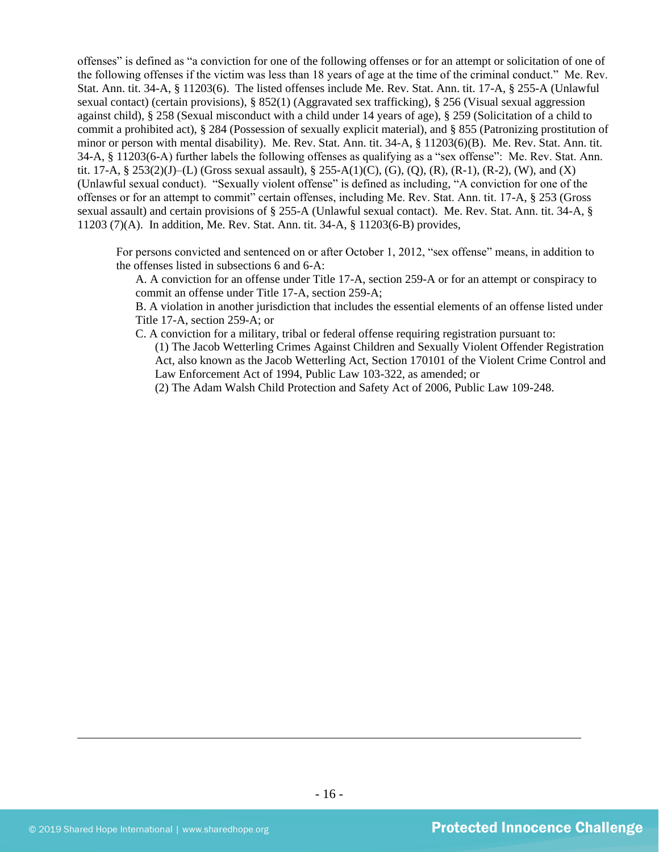offenses" is defined as "a conviction for one of the following offenses or for an attempt or solicitation of one of the following offenses if the victim was less than 18 years of age at the time of the criminal conduct." Me. Rev. Stat. Ann. tit. 34-A, § 11203(6). The listed offenses include Me. Rev. Stat. Ann. tit. 17-A, § 255-A (Unlawful sexual contact) (certain provisions), § 852(1) (Aggravated sex trafficking), § 256 (Visual sexual aggression against child), § 258 (Sexual misconduct with a child under 14 years of age), § 259 (Solicitation of a child to commit a prohibited act), § 284 (Possession of sexually explicit material), and § 855 (Patronizing prostitution of minor or person with mental disability). Me. Rev. Stat. Ann. tit. 34-A, § 11203(6)(B). Me. Rev. Stat. Ann. tit. 34-A, § 11203(6-A) further labels the following offenses as qualifying as a "sex offense": Me. Rev. Stat. Ann. tit. 17-A, § 253(2)(J)–(L) (Gross sexual assault), § 255-A(1)(C), (G), (Q), (R), (R-1), (R-2), (W), and (X) (Unlawful sexual conduct). "Sexually violent offense" is defined as including, "A conviction for one of the offenses or for an attempt to commit" certain offenses, including Me. Rev. Stat. Ann. tit. 17-A, § 253 (Gross sexual assault) and certain provisions of § 255-A (Unlawful sexual contact). Me. Rev. Stat. Ann. tit. 34-A, § 11203 (7)(A). In addition, Me. Rev. Stat. Ann. tit. 34-A, § 11203(6-B) provides,

For persons convicted and sentenced on or after October 1, 2012, "sex offense" means, in addition to the offenses listed in subsections 6 and 6-A:

A. A conviction for an offense under Title 17-A, section 259-A or for an attempt or conspiracy to commit an offense under Title 17-A, section 259-A;

B. A violation in another jurisdiction that includes the essential elements of an offense listed under Title 17-A, section 259-A; or

C. A conviction for a military, tribal or federal offense requiring registration pursuant to:

(1) The Jacob Wetterling Crimes Against Children and Sexually Violent Offender Registration Act, also known as the Jacob Wetterling Act, Section 170101 of the Violent Crime Control and Law Enforcement Act of 1994, Public Law 103-322, as amended; or

(2) The Adam Walsh Child Protection and Safety Act of 2006, Public Law 109-248.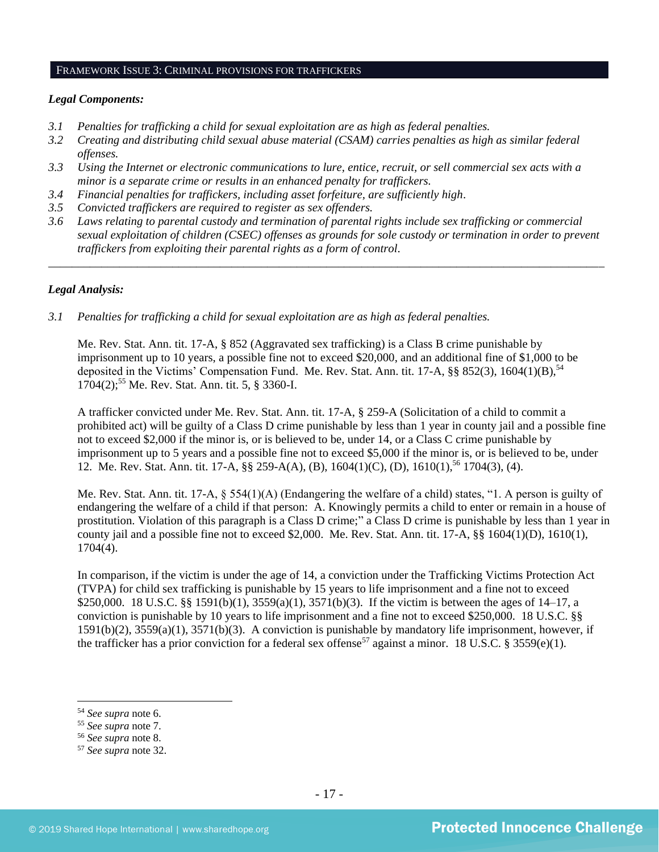#### FRAMEWORK ISSUE 3: CRIMINAL PROVISIONS FOR TRAFFICKERS

#### *Legal Components:*

- *3.1 Penalties for trafficking a child for sexual exploitation are as high as federal penalties.*
- *3.2 Creating and distributing child sexual abuse material (CSAM) carries penalties as high as similar federal offenses.*
- *3.3 Using the Internet or electronic communications to lure, entice, recruit, or sell commercial sex acts with a minor is a separate crime or results in an enhanced penalty for traffickers.*
- *3.4 Financial penalties for traffickers, including asset forfeiture, are sufficiently high*.
- *3.5 Convicted traffickers are required to register as sex offenders.*
- *3.6 Laws relating to parental custody and termination of parental rights include sex trafficking or commercial sexual exploitation of children (CSEC) offenses as grounds for sole custody or termination in order to prevent traffickers from exploiting their parental rights as a form of control.*

*\_\_\_\_\_\_\_\_\_\_\_\_\_\_\_\_\_\_\_\_\_\_\_\_\_\_\_\_\_\_\_\_\_\_\_\_\_\_\_\_\_\_\_\_\_\_\_\_\_\_\_\_\_\_\_\_\_\_\_\_\_\_\_\_\_\_\_\_\_\_\_\_\_\_\_\_\_\_\_\_\_\_\_\_\_\_\_\_\_\_\_\_\_\_*

#### *Legal Analysis:*

*3.1 Penalties for trafficking a child for sexual exploitation are as high as federal penalties.* 

Me. Rev. Stat. Ann. tit. 17-A, § 852 (Aggravated sex trafficking) is a Class B crime punishable by imprisonment up to 10 years, a possible fine not to exceed \$20,000, and an additional fine of \$1,000 to be deposited in the Victims' Compensation Fund. Me. Rev. Stat. Ann. tit. 17-A,  $\S$ § 852(3), 1604(1)(B),<sup>54</sup> 1704(2); <sup>55</sup> Me. Rev. Stat. Ann. tit. 5, § 3360-I.

A trafficker convicted under Me. Rev. Stat. Ann. tit. 17-A, § 259-A (Solicitation of a child to commit a prohibited act) will be guilty of a Class D crime punishable by less than 1 year in county jail and a possible fine not to exceed \$2,000 if the minor is, or is believed to be, under 14, or a Class C crime punishable by imprisonment up to 5 years and a possible fine not to exceed \$5,000 if the minor is, or is believed to be, under 12. Me. Rev. Stat. Ann. tit. 17-A, §§ 259-A(A), (B), 1604(1)(C), (D), 1610(1),<sup>56</sup> 1704(3), (4).

Me. Rev. Stat. Ann. tit. 17-A, § 554(1)(A) (Endangering the welfare of a child) states, "1. A person is guilty of endangering the welfare of a child if that person: A. Knowingly permits a child to enter or remain in a house of prostitution. Violation of this paragraph is a Class D crime;" a Class D crime is punishable by less than 1 year in county jail and a possible fine not to exceed \$2,000. Me. Rev. Stat. Ann. tit. 17-A, §§ 1604(1)(D), 1610(1), 1704(4).

In comparison, if the victim is under the age of 14, a conviction under the Trafficking Victims Protection Act (TVPA) for child sex trafficking is punishable by 15 years to life imprisonment and a fine not to exceed \$250,000. 18 U.S.C. §§ 1591(b)(1), 3559(a)(1), 3571(b)(3). If the victim is between the ages of 14–17, a conviction is punishable by 10 years to life imprisonment and a fine not to exceed \$250,000. 18 U.S.C. §§ 1591(b)(2), 3559(a)(1), 3571(b)(3). A conviction is punishable by mandatory life imprisonment, however, if the trafficker has a prior conviction for a federal sex offense<sup>57</sup> against a minor. 18 U.S.C. § 3559(e)(1).

<sup>54</sup> *See supra* note [6.](#page-2-0)

<sup>55</sup> *See supra* note [7.](#page-2-1)

<sup>56</sup> *See supra* note 8.

<sup>57</sup> *See supra* note [32.](#page-9-0)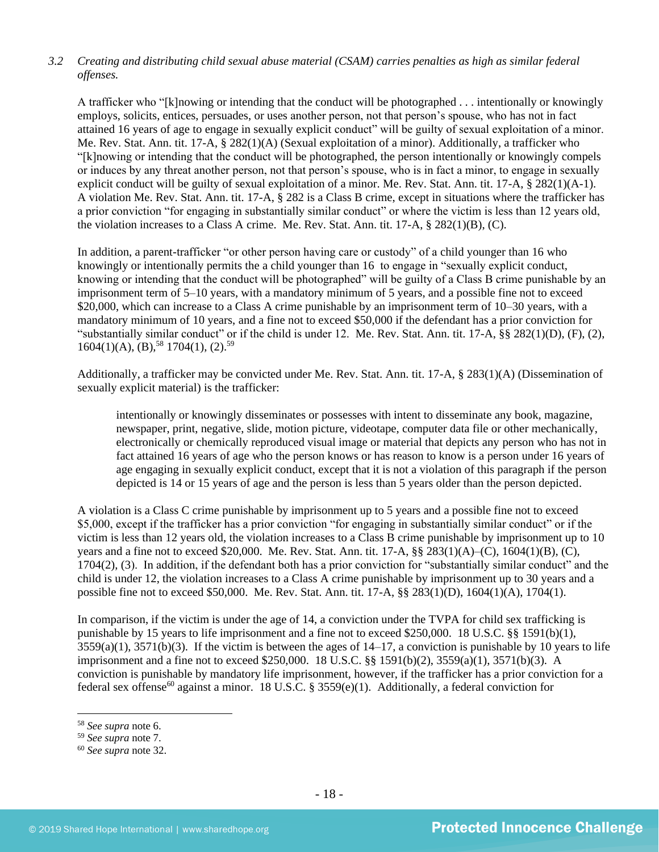# *3.2 Creating and distributing child sexual abuse material (CSAM) carries penalties as high as similar federal offenses.*

A trafficker who "[k]nowing or intending that the conduct will be photographed . . . intentionally or knowingly employs, solicits, entices, persuades, or uses another person, not that person's spouse, who has not in fact attained 16 years of age to engage in sexually explicit conduct" will be guilty of sexual exploitation of a minor. Me. Rev. Stat. Ann. tit. 17-A, § 282(1)(A) (Sexual exploitation of a minor). Additionally, a trafficker who "[k]nowing or intending that the conduct will be photographed, the person intentionally or knowingly compels or induces by any threat another person, not that person's spouse, who is in fact a minor, to engage in sexually explicit conduct will be guilty of sexual exploitation of a minor. Me. Rev. Stat. Ann. tit. 17-A, § 282(1)(A-1). A violation Me. Rev. Stat. Ann. tit. 17-A, § 282 is a Class B crime, except in situations where the trafficker has a prior conviction "for engaging in substantially similar conduct" or where the victim is less than 12 years old, the violation increases to a Class A crime. Me. Rev. Stat. Ann. tit. 17-A, § 282(1)(B), (C).

In addition, a parent-trafficker "or other person having care or custody" of a child younger than 16 who knowingly or intentionally permits the a child younger than 16 to engage in "sexually explicit conduct, knowing or intending that the conduct will be photographed" will be guilty of a Class B crime punishable by an imprisonment term of 5–10 years, with a mandatory minimum of 5 years, and a possible fine not to exceed \$20,000, which can increase to a Class A crime punishable by an imprisonment term of 10–30 years, with a mandatory minimum of 10 years, and a fine not to exceed \$50,000 if the defendant has a prior conviction for "substantially similar conduct" or if the child is under 12. Me. Rev. Stat. Ann. tit. 17-A,  $\S$ § 282(1)(D), (F), (2),  $1604(1)(A), (B),<sup>58</sup>1704(1), (2).<sup>59</sup>$ 

Additionally, a trafficker may be convicted under Me. Rev. Stat. Ann. tit. 17-A, § 283(1)(A) (Dissemination of sexually explicit material) is the trafficker:

intentionally or knowingly disseminates or possesses with intent to disseminate any book, magazine, newspaper, print, negative, slide, motion picture, videotape, computer data file or other mechanically, electronically or chemically reproduced visual image or material that depicts any person who has not in fact attained 16 years of age who the person knows or has reason to know is a person under 16 years of age engaging in sexually explicit conduct, except that it is not a violation of this paragraph if the person depicted is 14 or 15 years of age and the person is less than 5 years older than the person depicted.

A violation is a Class C crime punishable by imprisonment up to 5 years and a possible fine not to exceed \$5,000, except if the trafficker has a prior conviction "for engaging in substantially similar conduct" or if the victim is less than 12 years old, the violation increases to a Class B crime punishable by imprisonment up to 10 years and a fine not to exceed \$20,000. Me. Rev. Stat. Ann. tit. 17-A, §§ 283(1)(A)–(C), 1604(1)(B), (C), 1704(2), (3). In addition, if the defendant both has a prior conviction for "substantially similar conduct" and the child is under 12, the violation increases to a Class A crime punishable by imprisonment up to 30 years and a possible fine not to exceed \$50,000. Me. Rev. Stat. Ann. tit. 17-A, §§ 283(1)(D), 1604(1)(A), 1704(1).

In comparison, if the victim is under the age of 14, a conviction under the TVPA for child sex trafficking is punishable by 15 years to life imprisonment and a fine not to exceed \$250,000. 18 U.S.C. §§ 1591(b)(1),  $3559(a)(1)$ ,  $3571(b)(3)$ . If the victim is between the ages of  $14-17$ , a conviction is punishable by 10 years to life imprisonment and a fine not to exceed \$250,000. 18 U.S.C. §§ 1591(b)(2), 3559(a)(1), 3571(b)(3). A conviction is punishable by mandatory life imprisonment, however, if the trafficker has a prior conviction for a federal sex of fense<sup>60</sup> against a minor. 18 U.S.C. § 3559(e)(1). Additionally, a federal conviction for

<sup>58</sup> *See supra* note [6.](#page-2-0)

<sup>59</sup> *See supra* note [7.](#page-2-1)

<sup>60</sup> *See supra* note [32.](#page-9-0)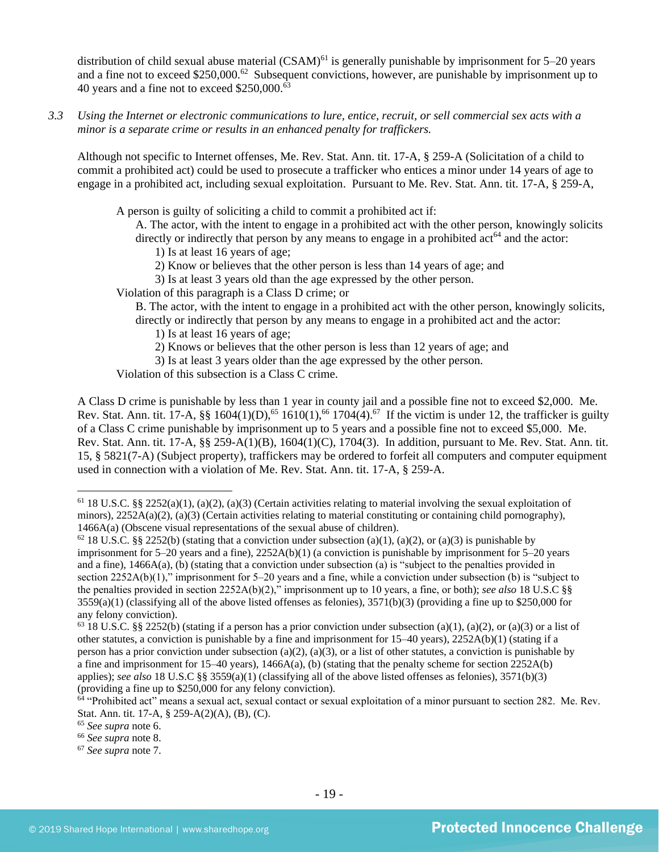distribution of child sexual abuse material  $(CSAM)^{61}$  is generally punishable by imprisonment for 5–20 years and a fine not to exceed \$250,000.<sup>62</sup> Subsequent convictions, however, are punishable by imprisonment up to 40 years and a fine not to exceed  $$250,000$ .<sup>63</sup>

*3.3 Using the Internet or electronic communications to lure, entice, recruit, or sell commercial sex acts with a minor is a separate crime or results in an enhanced penalty for traffickers.*

Although not specific to Internet offenses, Me. Rev. Stat. Ann. tit. 17-A, § 259-A (Solicitation of a child to commit a prohibited act) could be used to prosecute a trafficker who entices a minor under 14 years of age to engage in a prohibited act, including sexual exploitation. Pursuant to Me. Rev. Stat. Ann. tit. 17-A, § 259-A,

A person is guilty of soliciting a child to commit a prohibited act if:

A. The actor, with the intent to engage in a prohibited act with the other person, knowingly solicits directly or indirectly that person by any means to engage in a prohibited act<sup>64</sup> and the actor:

- 1) Is at least 16 years of age;
- 2) Know or believes that the other person is less than 14 years of age; and
- 3) Is at least 3 years old than the age expressed by the other person.
- Violation of this paragraph is a Class D crime; or

B. The actor, with the intent to engage in a prohibited act with the other person, knowingly solicits, directly or indirectly that person by any means to engage in a prohibited act and the actor:

1) Is at least 16 years of age;

- 2) Knows or believes that the other person is less than 12 years of age; and
- 3) Is at least 3 years older than the age expressed by the other person.

Violation of this subsection is a Class C crime.

A Class D crime is punishable by less than 1 year in county jail and a possible fine not to exceed \$2,000. Me. Rev. Stat. Ann. tit. 17-A,  $\S$  1604(1)(D),<sup>65</sup> 1610(1),<sup>66</sup> 1704(4).<sup>67</sup> If the victim is under 12, the trafficker is guilty of a Class C crime punishable by imprisonment up to 5 years and a possible fine not to exceed \$5,000. Me. Rev. Stat. Ann. tit. 17-A, §§ 259-A(1)(B), 1604(1)(C), 1704(3). In addition, pursuant to Me. Rev. Stat. Ann. tit. 15, § 5821(7-A) (Subject property), traffickers may be ordered to forfeit all computers and computer equipment used in connection with a violation of Me. Rev. Stat. Ann. tit. 17-A, § 259-A.

 $61$  18 U.S.C. §§ 2252(a)(1), (a)(2), (a)(3) (Certain activities relating to material involving the sexual exploitation of minors),  $2252A(a)(2)$ , (a)(3) (Certain activities relating to material constituting or containing child pornography), 1466A(a) (Obscene visual representations of the sexual abuse of children).

<sup>&</sup>lt;sup>62</sup> 18 U.S.C. §§ 2252(b) (stating that a conviction under subsection (a)(1), (a)(2), or (a)(3) is punishable by imprisonment for 5–20 years and a fine), 2252A(b)(1) (a conviction is punishable by imprisonment for 5–20 years and a fine), 1466A(a), (b) (stating that a conviction under subsection (a) is "subject to the penalties provided in section 2252A(b)(1)," imprisonment for 5–20 years and a fine, while a conviction under subsection (b) is "subject to the penalties provided in section 2252A(b)(2)," imprisonment up to 10 years, a fine, or both); *see also* 18 U.S.C §§  $3559(a)(1)$  (classifying all of the above listed offenses as felonies),  $3571(b)(3)$  (providing a fine up to \$250,000 for any felony conviction).

<sup>&</sup>lt;sup>63</sup> 18 U.S.C. §§ 2252(b) (stating if a person has a prior conviction under subsection (a)(1), (a)(2), or (a)(3) or a list of other statutes, a conviction is punishable by a fine and imprisonment for 15–40 years), 2252A(b)(1) (stating if a person has a prior conviction under subsection (a)(2), (a)(3), or a list of other statutes, a conviction is punishable by a fine and imprisonment for 15–40 years),  $1466A(a)$ , (b) (stating that the penalty scheme for section 2252A(b) applies); *see also* 18 U.S.C §§ 3559(a)(1) (classifying all of the above listed offenses as felonies), 3571(b)(3) (providing a fine up to \$250,000 for any felony conviction).

 $64$  "Prohibited act" means a sexual act, sexual contact or sexual exploitation of a minor pursuant to section 282. Me. Rev. Stat. Ann. tit. 17-A, § 259-A(2)(A), (B), (C).

<sup>65</sup> *See supra* note [6.](#page-2-0)

<sup>66</sup> *See supra* note 8.

<sup>67</sup> *See supra* note [7.](#page-2-1)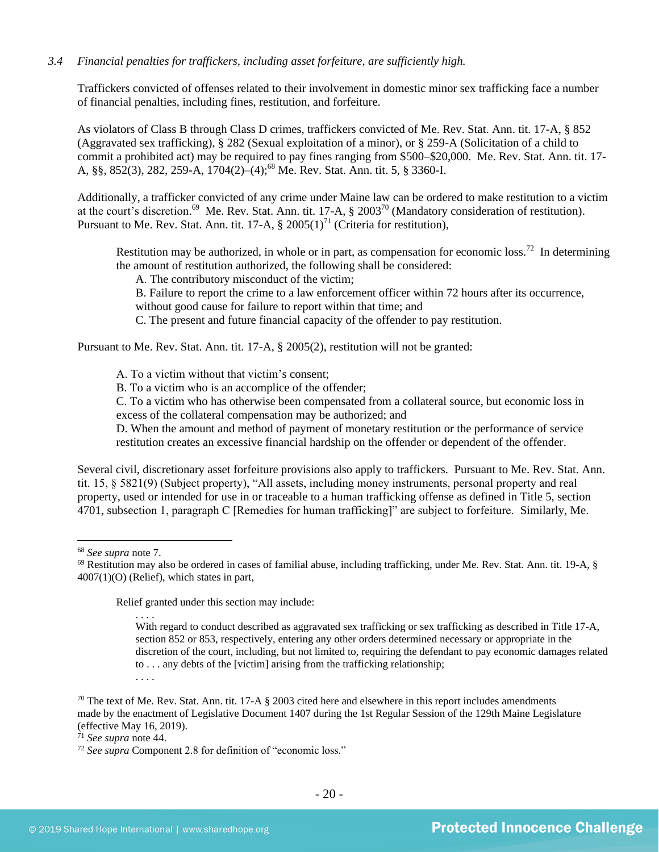#### *3.4 Financial penalties for traffickers, including asset forfeiture, are sufficiently high.*

Traffickers convicted of offenses related to their involvement in domestic minor sex trafficking face a number of financial penalties, including fines, restitution, and forfeiture.

As violators of Class B through Class D crimes, traffickers convicted of Me. Rev. Stat. Ann. tit. 17-A, § 852 (Aggravated sex trafficking), § 282 (Sexual exploitation of a minor), or § 259-A (Solicitation of a child to commit a prohibited act) may be required to pay fines ranging from \$500–\$20,000. Me. Rev. Stat. Ann. tit. 17- A, §§, 852(3), 282, 259-A, 1704(2)–(4); <sup>68</sup> Me. Rev. Stat. Ann. tit. 5, § 3360-I.

Additionally, a trafficker convicted of any crime under Maine law can be ordered to make restitution to a victim at the court's discretion.<sup>69</sup> Me. Rev. Stat. Ann. tit. 17-A,  $\S 2003^{70}$  (Mandatory consideration of restitution). Pursuant to Me. Rev. Stat. Ann. tit. 17-A,  $\S 2005(1)^{71}$  (Criteria for restitution),

Restitution may be authorized, in whole or in part, as compensation for economic loss.<sup>72</sup> In determining the amount of restitution authorized, the following shall be considered:

<span id="page-19-0"></span>A. The contributory misconduct of the victim;

B. Failure to report the crime to a law enforcement officer within 72 hours after its occurrence, without good cause for failure to report within that time; and

C. The present and future financial capacity of the offender to pay restitution.

Pursuant to Me. Rev. Stat. Ann. tit. 17-A, § 2005(2), restitution will not be granted:

A. To a victim without that victim's consent;

B. To a victim who is an accomplice of the offender;

C. To a victim who has otherwise been compensated from a collateral source, but economic loss in excess of the collateral compensation may be authorized; and

D. When the amount and method of payment of monetary restitution or the performance of service restitution creates an excessive financial hardship on the offender or dependent of the offender.

Several civil, discretionary asset forfeiture provisions also apply to traffickers. Pursuant to Me. Rev. Stat. Ann. tit. 15, § 5821(9) (Subject property), "All assets, including money instruments, personal property and real property, used or intended for use in or traceable to a human trafficking offense as defined in Title 5, section 4701, subsection 1, paragraph C [Remedies for human trafficking]" are subject to forfeiture. Similarly, Me.

<sup>68</sup> *See supra* note [7.](#page-2-1)

Relief granted under this section may include:

<sup>69</sup> Restitution may also be ordered in cases of familial abuse, including trafficking, under Me. Rev. Stat. Ann. tit. 19-A, § 4007(1)(O) (Relief), which states in part,

<sup>. . . .</sup> With regard to conduct described as aggravated sex trafficking or sex trafficking as described in Title 17-A, section 852 or 853, respectively, entering any other orders determined necessary or appropriate in the discretion of the court, including, but not limited to, requiring the defendant to pay economic damages related to . . . any debts of the [victim] arising from the trafficking relationship; . . . .

<sup>&</sup>lt;sup>70</sup> The text of Me. Rev. Stat. Ann. tit. 17-A  $\S$  2003 cited here and elsewhere in this report includes amendments made by the enactment of Legislative Document 1407 during the 1st Regular Session of the 129th Maine Legislature (effective May 16, 2019).

<sup>71</sup> *See supra* note [44.](#page-12-0)

<sup>72</sup> *See supra* Component 2.8 for definition of "economic loss."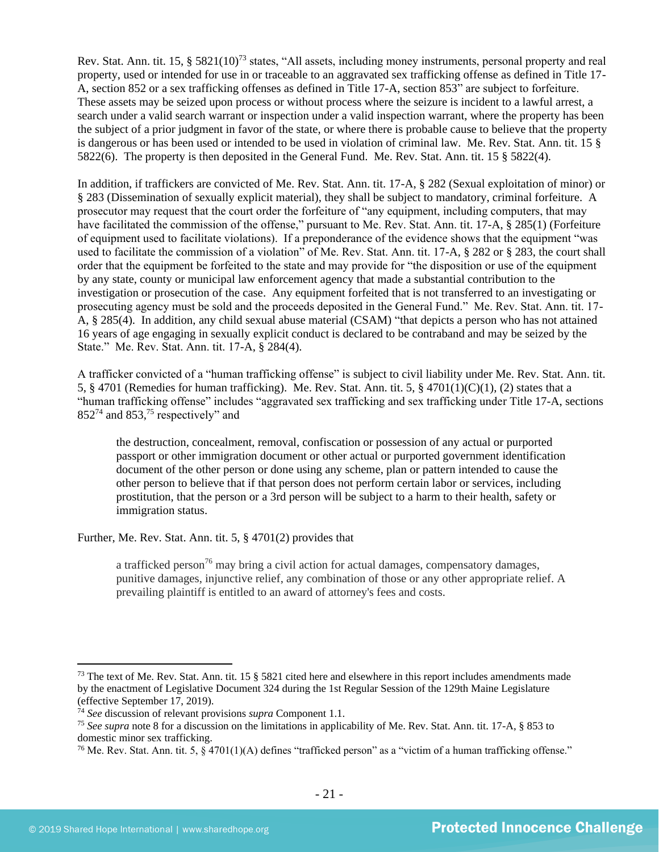<span id="page-20-0"></span>Rev. Stat. Ann. tit. 15, § 5821(10)<sup>73</sup> states, "All assets, including money instruments, personal property and real property, used or intended for use in or traceable to an aggravated sex trafficking offense as defined in Title 17- A, section 852 or a sex trafficking offenses as defined in Title 17-A, section 853" are subject to forfeiture. These assets may be seized upon process or without process where the seizure is incident to a lawful arrest, a search under a valid search warrant or inspection under a valid inspection warrant, where the property has been the subject of a prior judgment in favor of the state, or where there is probable cause to believe that the property is dangerous or has been used or intended to be used in violation of criminal law. Me. Rev. Stat. Ann. tit. 15 § 5822(6). The property is then deposited in the General Fund. Me. Rev. Stat. Ann. tit. 15 § 5822(4).

In addition, if traffickers are convicted of Me. Rev. Stat. Ann. tit. 17-A, § 282 (Sexual exploitation of minor) or § 283 (Dissemination of sexually explicit material), they shall be subject to mandatory, criminal forfeiture. A prosecutor may request that the court order the forfeiture of "any equipment, including computers, that may have facilitated the commission of the offense," pursuant to Me. Rev. Stat. Ann. tit. 17-A, § 285(1) (Forfeiture of equipment used to facilitate violations). If a preponderance of the evidence shows that the equipment "was used to facilitate the commission of a violation" of Me. Rev. Stat. Ann. tit. 17-A, § 282 or § 283, the court shall order that the equipment be forfeited to the state and may provide for "the disposition or use of the equipment by any state, county or municipal law enforcement agency that made a substantial contribution to the investigation or prosecution of the case. Any equipment forfeited that is not transferred to an investigating or prosecuting agency must be sold and the proceeds deposited in the General Fund." Me. Rev. Stat. Ann. tit. 17- A, § 285(4). In addition, any child sexual abuse material (CSAM) "that depicts a person who has not attained 16 years of age engaging in sexually explicit conduct is declared to be contraband and may be seized by the State." Me. Rev. Stat. Ann. tit. 17-A, § 284(4).

A trafficker convicted of a "human trafficking offense" is subject to civil liability under Me. Rev. Stat. Ann. tit. 5, § 4701 (Remedies for human trafficking). Me. Rev. Stat. Ann. tit. 5, § 4701(1)(C)(1), (2) states that a "human trafficking offense" includes "aggravated sex trafficking and sex trafficking under Title 17-A, sections  $852^{74}$  and  $853<sup>75</sup>$  respectively" and

the destruction, concealment, removal, confiscation or possession of any actual or purported passport or other immigration document or other actual or purported government identification document of the other person or done using any scheme, plan or pattern intended to cause the other person to believe that if that person does not perform certain labor or services, including prostitution, that the person or a 3rd person will be subject to a harm to their health, safety or immigration status.

Further, Me. Rev. Stat. Ann. tit. 5, § 4701(2) provides that

a trafficked person<sup>76</sup> may bring a civil action for actual damages, compensatory damages, punitive damages, injunctive relief, any combination of those or any other appropriate relief. A prevailing plaintiff is entitled to an award of attorney's fees and costs.

<sup>&</sup>lt;sup>73</sup> The text of Me. Rev. Stat. Ann. tit. 15  $\S$  5821 cited here and elsewhere in this report includes amendments made by the enactment of Legislative Document 324 during the 1st Regular Session of the 129th Maine Legislature (effective September 17, 2019).

<sup>74</sup> *See* discussion of relevant provisions *supra* Component 1.1.

<sup>75</sup> *See supra* note [8](#page-2-2) for a discussion on the limitations in applicability of Me. Rev. Stat. Ann. tit. 17-A, § 853 to domestic minor sex trafficking.

<sup>&</sup>lt;sup>76</sup> Me. Rev. Stat. Ann. tit. 5,  $\S$  4701(1)(A) defines "trafficked person" as a "victim of a human trafficking offense."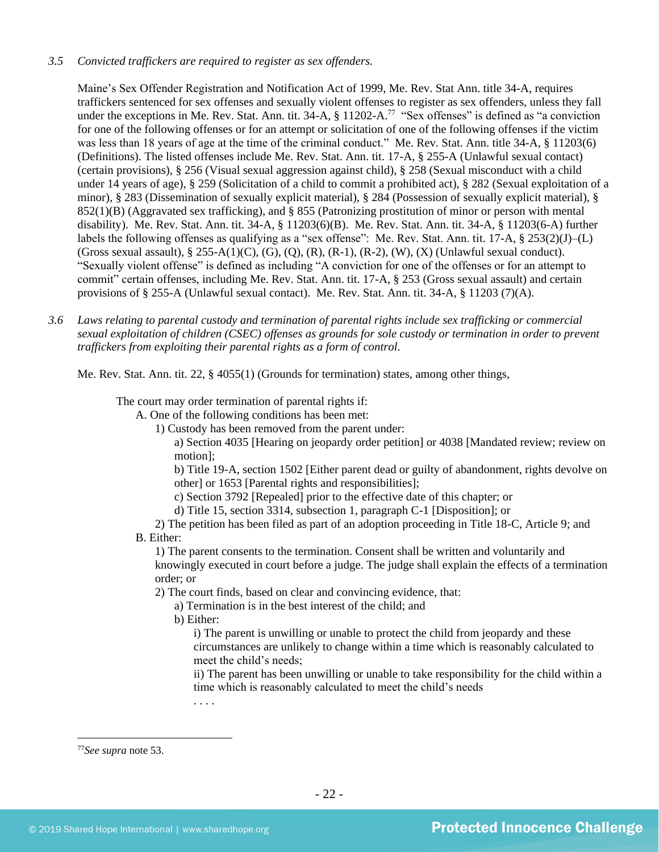#### *3.5 Convicted traffickers are required to register as sex offenders.*

Maine's Sex Offender Registration and Notification Act of 1999, Me. Rev. Stat Ann. title 34-A, requires traffickers sentenced for sex offenses and sexually violent offenses to register as sex offenders, unless they fall under the exceptions in Me. Rev. Stat. Ann. tit. 34-A,  $\S$  11202-A.<sup>77</sup> "Sex offenses" is defined as "a conviction for one of the following offenses or for an attempt or solicitation of one of the following offenses if the victim was less than 18 years of age at the time of the criminal conduct." Me. Rev. Stat. Ann. title 34-A, § 11203(6) (Definitions). The listed offenses include Me. Rev. Stat. Ann. tit. 17-A, § 255-A (Unlawful sexual contact) (certain provisions), § 256 (Visual sexual aggression against child), § 258 (Sexual misconduct with a child under 14 years of age), § 259 (Solicitation of a child to commit a prohibited act), § 282 (Sexual exploitation of a minor), § 283 (Dissemination of sexually explicit material), § 284 (Possession of sexually explicit material), § 852(1)(B) (Aggravated sex trafficking), and § 855 (Patronizing prostitution of minor or person with mental disability). Me. Rev. Stat. Ann. tit. 34-A, § 11203(6)(B). Me. Rev. Stat. Ann. tit. 34-A, § 11203(6-A) further labels the following offenses as qualifying as a "sex offense": Me. Rev. Stat. Ann. tit. 17-A, § 253(2)(J)–(L) (Gross sexual assault),  $\S 255-A(1)(C)$ , (G), (Q), (R), (R-1), (R-2), (W), (X) (Unlawful sexual conduct). "Sexually violent offense" is defined as including "A conviction for one of the offenses or for an attempt to commit" certain offenses, including Me. Rev. Stat. Ann. tit. 17-A, § 253 (Gross sexual assault) and certain provisions of § 255-A (Unlawful sexual contact). Me. Rev. Stat. Ann. tit. 34-A, § 11203 (7)(A).

*3.6 Laws relating to parental custody and termination of parental rights include sex trafficking or commercial sexual exploitation of children (CSEC) offenses as grounds for sole custody or termination in order to prevent traffickers from exploiting their parental rights as a form of control.* 

Me. Rev. Stat. Ann. tit. 22, § 4055(1) (Grounds for termination) states, among other things,

The court may order termination of parental rights if:

A. One of the following conditions has been met:

1) Custody has been removed from the parent under:

a) Section 4035 [Hearing on jeopardy order petition] or 4038 [Mandated review; review on motion];

b) Title 19-A, section 1502 [Either parent dead or guilty of abandonment, rights devolve on other] or 1653 [Parental rights and responsibilities];

c) Section 3792 [Repealed] prior to the effective date of this chapter; or

d) Title 15, section 3314, subsection 1, paragraph C-1 [Disposition]; or

2) The petition has been filed as part of an adoption proceeding in Title 18-C, Article 9; and B. Either:

1) The parent consents to the termination. Consent shall be written and voluntarily and knowingly executed in court before a judge. The judge shall explain the effects of a termination order; or

2) The court finds, based on clear and convincing evidence, that:

a) Termination is in the best interest of the child; and

b) Either:

. . . .

i) The parent is unwilling or unable to protect the child from jeopardy and these circumstances are unlikely to change within a time which is reasonably calculated to meet the child's needs;

ii) The parent has been unwilling or unable to take responsibility for the child within a time which is reasonably calculated to meet the child's needs

<sup>77</sup>*See supra* note [53.](#page-14-0)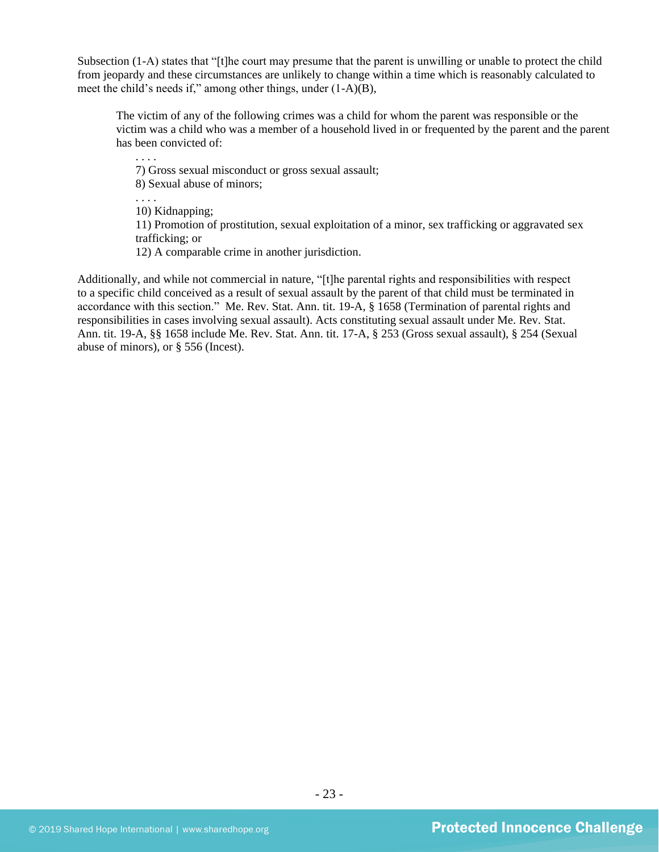Subsection (1-A) states that "[t]he court may presume that the parent is unwilling or unable to protect the child from jeopardy and these circumstances are unlikely to change within a time which is reasonably calculated to meet the child's needs if," among other things, under (1-A)(B),

The victim of any of the following crimes was a child for whom the parent was responsible or the victim was a child who was a member of a household lived in or frequented by the parent and the parent has been convicted of:

7) Gross sexual misconduct or gross sexual assault; 8) Sexual abuse of minors; . . . . 10) Kidnapping; 11) Promotion of prostitution, sexual exploitation of a minor, sex trafficking or aggravated sex trafficking; or

12) A comparable crime in another jurisdiction.

. . . .

Additionally, and while not commercial in nature, "[t]he parental rights and responsibilities with respect to a specific child conceived as a result of sexual assault by the parent of that child must be terminated in accordance with this section." Me. Rev. Stat. Ann. tit. 19-A, § 1658 (Termination of parental rights and responsibilities in cases involving sexual assault). Acts constituting sexual assault under Me. Rev. Stat. Ann. tit. 19-A, §§ 1658 include Me. Rev. Stat. Ann. tit. 17-A, § 253 (Gross sexual assault), § 254 (Sexual abuse of minors), or § 556 (Incest).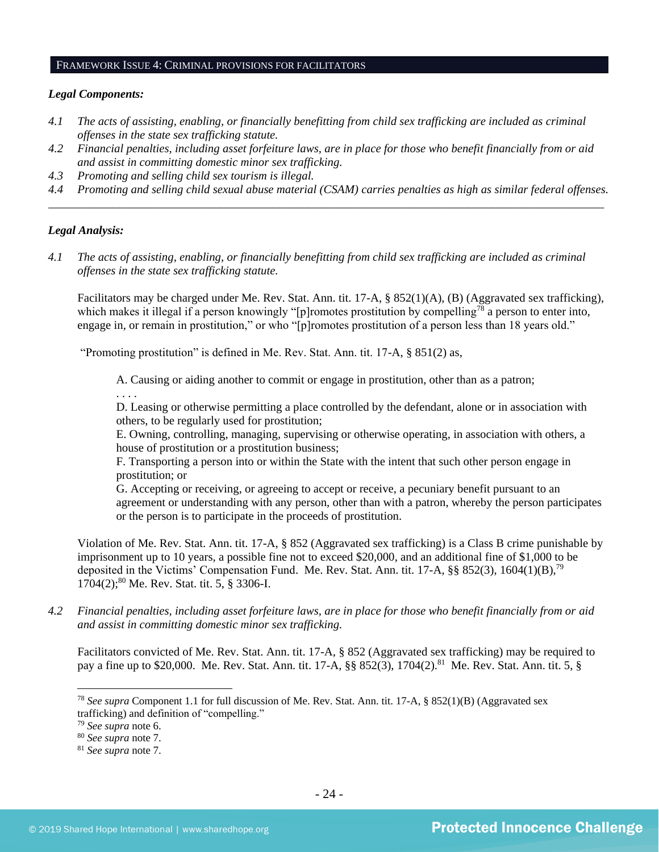#### FRAMEWORK ISSUE 4: CRIMINAL PROVISIONS FOR FACILITATORS

#### *Legal Components:*

- *4.1 The acts of assisting, enabling, or financially benefitting from child sex trafficking are included as criminal offenses in the state sex trafficking statute.*
- *4.2 Financial penalties, including asset forfeiture laws, are in place for those who benefit financially from or aid and assist in committing domestic minor sex trafficking.*
- *4.3 Promoting and selling child sex tourism is illegal.*
- *4.4 Promoting and selling child sexual abuse material (CSAM) carries penalties as high as similar federal offenses. \_\_\_\_\_\_\_\_\_\_\_\_\_\_\_\_\_\_\_\_\_\_\_\_\_\_\_\_\_\_\_\_\_\_\_\_\_\_\_\_\_\_\_\_\_\_\_\_\_\_\_\_\_\_\_\_\_\_\_\_\_\_\_\_\_\_\_\_\_\_\_\_\_\_\_\_\_\_\_\_\_\_\_\_\_\_\_\_\_\_\_\_\_\_*

#### *Legal Analysis:*

*4.1 The acts of assisting, enabling, or financially benefitting from child sex trafficking are included as criminal offenses in the state sex trafficking statute.*

Facilitators may be charged under Me. Rev. Stat. Ann. tit. 17-A, § 852(1)(A), (B) (Aggravated sex trafficking), which makes it illegal if a person knowingly "[p]romotes prostitution by compelling<sup>78</sup> a person to enter into, engage in, or remain in prostitution," or who "[p]romotes prostitution of a person less than 18 years old."

"Promoting prostitution" is defined in Me. Rev. Stat. Ann. tit. 17-A, § 851(2) as,

A. Causing or aiding another to commit or engage in prostitution, other than as a patron;

. . . .

D. Leasing or otherwise permitting a place controlled by the defendant, alone or in association with others, to be regularly used for prostitution;

E. Owning, controlling, managing, supervising or otherwise operating, in association with others, a house of prostitution or a prostitution business;

F. Transporting a person into or within the State with the intent that such other person engage in prostitution; or

G. Accepting or receiving, or agreeing to accept or receive, a pecuniary benefit pursuant to an agreement or understanding with any person, other than with a patron, whereby the person participates or the person is to participate in the proceeds of prostitution.

Violation of Me. Rev. Stat. Ann. tit. 17-A, § 852 (Aggravated sex trafficking) is a Class B crime punishable by imprisonment up to 10 years, a possible fine not to exceed \$20,000, and an additional fine of \$1,000 to be deposited in the Victims' Compensation Fund. Me. Rev. Stat. Ann. tit. 17-A, §§ 852(3), 1604(1)(B),<sup>79</sup> 1704(2); <sup>80</sup> Me. Rev. Stat. tit. 5, § 3306-I.

*4.2 Financial penalties, including asset forfeiture laws, are in place for those who benefit financially from or aid and assist in committing domestic minor sex trafficking.*

Facilitators convicted of Me. Rev. Stat. Ann. tit. 17-A, § 852 (Aggravated sex trafficking) may be required to pay a fine up to \$20,000. Me. Rev. Stat. Ann. tit. 17-A, §§ 852(3), 1704(2).<sup>81</sup> Me. Rev. Stat. Ann. tit. 5, §

<sup>78</sup> *See supra* Component 1.1 for full discussion of Me. Rev. Stat. Ann. tit. 17-A, § 852(1)(B) (Aggravated sex trafficking) and definition of "compelling."

<sup>79</sup> *See supra* note [6.](#page-2-0)

<sup>80</sup> *See supra* note [7.](#page-2-1)

<sup>81</sup> *See supra* note [7.](#page-2-1)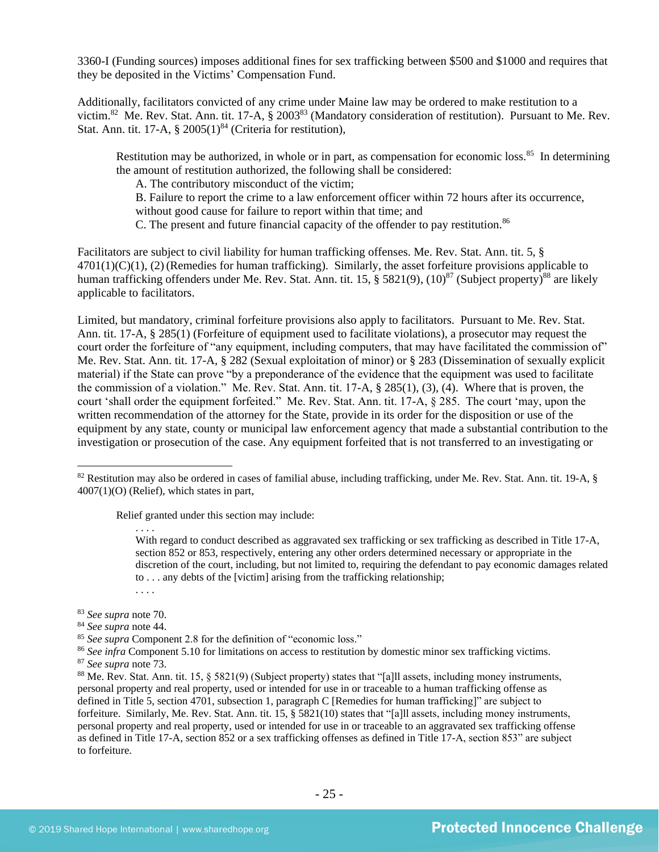3360-I (Funding sources) imposes additional fines for sex trafficking between \$500 and \$1000 and requires that they be deposited in the Victims' Compensation Fund.

Additionally, facilitators convicted of any crime under Maine law may be ordered to make restitution to a victim.<sup>82</sup> Me. Rev. Stat. Ann. tit. 17-A,  $\S 2003^{83}$  (Mandatory consideration of restitution). Pursuant to Me. Rev. Stat. Ann. tit. 17-A,  $\S$  2005(1)<sup>84</sup> (Criteria for restitution),

Restitution may be authorized, in whole or in part, as compensation for economic loss.<sup>85</sup> In determining the amount of restitution authorized, the following shall be considered:

A. The contributory misconduct of the victim;

B. Failure to report the crime to a law enforcement officer within 72 hours after its occurrence,

without good cause for failure to report within that time; and

C. The present and future financial capacity of the offender to pay restitution.<sup>86</sup>

Facilitators are subject to civil liability for human trafficking offenses. Me. Rev. Stat. Ann. tit. 5, § 4701(1)(C)(1), (2) (Remedies for human trafficking). Similarly, the asset forfeiture provisions applicable to human trafficking offenders under Me. Rev. Stat. Ann. tit. 15, § 5821(9), (10)<sup>87</sup> (Subject property)<sup>88</sup> are likely applicable to facilitators.

Limited, but mandatory, criminal forfeiture provisions also apply to facilitators. Pursuant to Me. Rev. Stat. Ann. tit. 17-A, § 285(1) (Forfeiture of equipment used to facilitate violations), a prosecutor may request the court order the forfeiture of "any equipment, including computers, that may have facilitated the commission of" Me. Rev. Stat. Ann. tit. 17-A, § 282 (Sexual exploitation of minor) or § 283 (Dissemination of sexually explicit material) if the State can prove "by a preponderance of the evidence that the equipment was used to facilitate the commission of a violation." Me. Rev. Stat. Ann. tit. 17-A, § 285(1), (3), (4). Where that is proven, the court 'shall order the equipment forfeited." Me. Rev. Stat. Ann. tit. 17-A, § 285. The court 'may, upon the written recommendation of the attorney for the State, provide in its order for the disposition or use of the equipment by any state, county or municipal law enforcement agency that made a substantial contribution to the investigation or prosecution of the case. Any equipment forfeited that is not transferred to an investigating or

Relief granted under this section may include:

With regard to conduct described as aggravated sex trafficking or sex trafficking as described in Title 17-A, section 852 or 853, respectively, entering any other orders determined necessary or appropriate in the discretion of the court, including, but not limited to, requiring the defendant to pay economic damages related to . . . any debts of the [victim] arising from the trafficking relationship; . . . .

<sup>83</sup> *See supra* note [70.](#page-19-0)

. . . .

<sup>84</sup> *See supra* note [44.](#page-12-0)

<sup>86</sup> See infra Component 5.10 for limitations on access to restitution by domestic minor sex trafficking victims.

<sup>87</sup> *See supra* note [73.](#page-20-0)

 $82$  Restitution may also be ordered in cases of familial abuse, including trafficking, under Me. Rev. Stat. Ann. tit. 19-A,  $\S$ 4007(1)(O) (Relief), which states in part,

<sup>85</sup> *See supra* Component 2.8 for the definition of "economic loss."

<sup>88</sup> Me. Rev. Stat. Ann. tit. 15, § 5821(9) (Subject property) states that "[a]ll assets, including money instruments, personal property and real property, used or intended for use in or traceable to a human trafficking offense as defined in Title 5, section 4701, subsection 1, paragraph C [Remedies for human trafficking]" are subject to forfeiture. Similarly, Me. Rev. Stat. Ann. tit. 15, § 5821(10) states that "[a]ll assets, including money instruments, personal property and real property, used or intended for use in or traceable to an aggravated sex trafficking offense as defined in Title 17-A, section 852 or a sex trafficking offenses as defined in Title 17-A, section 853" are subject to forfeiture.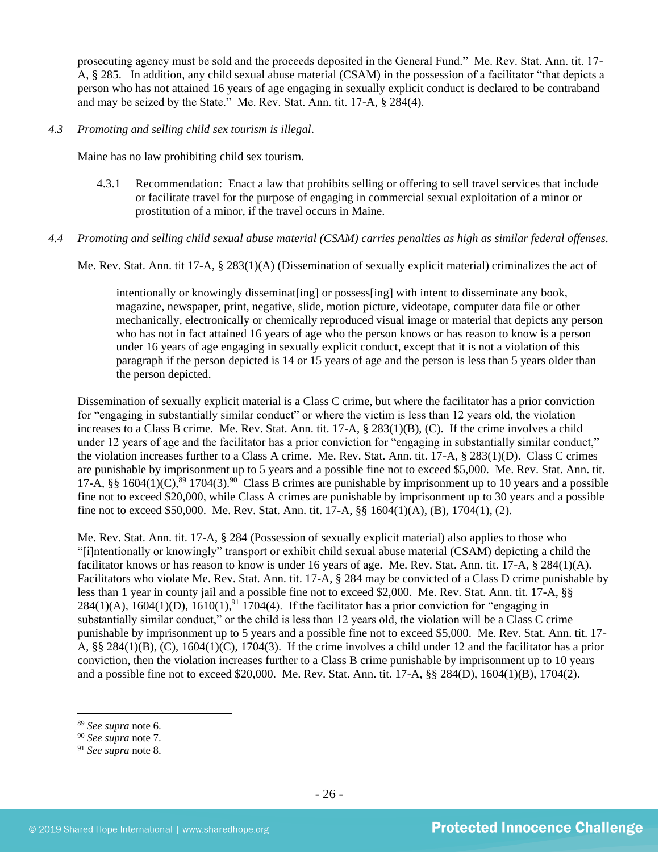prosecuting agency must be sold and the proceeds deposited in the General Fund." Me. Rev. Stat. Ann. tit. 17- A, § 285. In addition, any child sexual abuse material (CSAM) in the possession of a facilitator "that depicts a person who has not attained 16 years of age engaging in sexually explicit conduct is declared to be contraband and may be seized by the State." Me. Rev. Stat. Ann. tit. 17-A, § 284(4).

#### *4.3 Promoting and selling child sex tourism is illegal*.

Maine has no law prohibiting child sex tourism.

4.3.1 Recommendation: Enact a law that prohibits selling or offering to sell travel services that include or facilitate travel for the purpose of engaging in commercial sexual exploitation of a minor or prostitution of a minor, if the travel occurs in Maine.

#### *4.4 Promoting and selling child sexual abuse material (CSAM) carries penalties as high as similar federal offenses.*

Me. Rev. Stat. Ann. tit 17-A, § 283(1)(A) (Dissemination of sexually explicit material) criminalizes the act of

intentionally or knowingly disseminat [ing] or possess [ing] with intent to disseminate any book, magazine, newspaper, print, negative, slide, motion picture, videotape, computer data file or other mechanically, electronically or chemically reproduced visual image or material that depicts any person who has not in fact attained 16 years of age who the person knows or has reason to know is a person under 16 years of age engaging in sexually explicit conduct, except that it is not a violation of this paragraph if the person depicted is 14 or 15 years of age and the person is less than 5 years older than the person depicted.

Dissemination of sexually explicit material is a Class C crime, but where the facilitator has a prior conviction for "engaging in substantially similar conduct" or where the victim is less than 12 years old, the violation increases to a Class B crime. Me. Rev. Stat. Ann. tit. 17-A, § 283(1)(B), (C). If the crime involves a child under 12 years of age and the facilitator has a prior conviction for "engaging in substantially similar conduct," the violation increases further to a Class A crime. Me. Rev. Stat. Ann. tit. 17-A, § 283(1)(D). Class C crimes are punishable by imprisonment up to 5 years and a possible fine not to exceed \$5,000. Me. Rev. Stat. Ann. tit. 17-A, §§ 1604(1)(C),  $89 \times 1704(3)$ . <sup>90</sup> Class B crimes are punishable by imprisonment up to 10 years and a possible fine not to exceed \$20,000, while Class A crimes are punishable by imprisonment up to 30 years and a possible fine not to exceed \$50,000. Me. Rev. Stat. Ann. tit. 17-A, §§ 1604(1)(A), (B), 1704(1), (2).

Me. Rev. Stat. Ann. tit. 17-A, § 284 (Possession of sexually explicit material) also applies to those who "[i]ntentionally or knowingly" transport or exhibit child sexual abuse material (CSAM) depicting a child the facilitator knows or has reason to know is under 16 years of age. Me. Rev. Stat. Ann. tit. 17-A, § 284(1)(A). Facilitators who violate Me. Rev. Stat. Ann. tit. 17-A, § 284 may be convicted of a Class D crime punishable by less than 1 year in county jail and a possible fine not to exceed \$2,000. Me. Rev. Stat. Ann. tit. 17-A, §§ 284(1)(A),  $1604(1)$ (D),  $1610(1)$ ,  $91\overline{1704(4)}$ . If the facilitator has a prior conviction for "engaging in substantially similar conduct," or the child is less than 12 years old, the violation will be a Class C crime punishable by imprisonment up to 5 years and a possible fine not to exceed \$5,000. Me. Rev. Stat. Ann. tit. 17- A, §§ 284(1)(B), (C), 1604(1)(C), 1704(3). If the crime involves a child under 12 and the facilitator has a prior conviction, then the violation increases further to a Class B crime punishable by imprisonment up to 10 years and a possible fine not to exceed \$20,000. Me. Rev. Stat. Ann. tit. 17-A, §§ 284(D), 1604(1)(B), 1704(2).

<sup>89</sup> *See supra* note [6.](#page-2-0)

<sup>90</sup> *See supra* note [7.](#page-2-1)

<sup>91</sup> *See supra* note 8.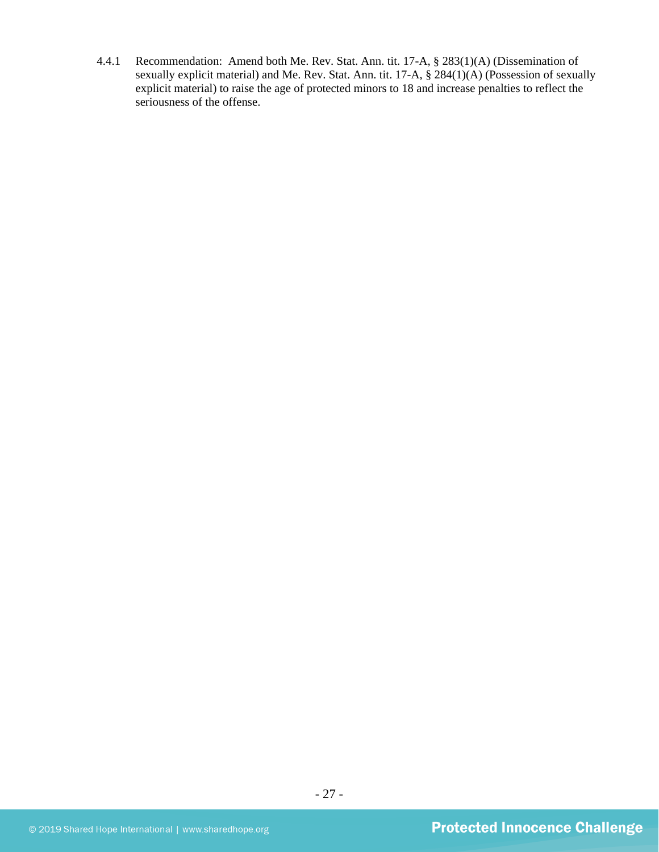4.4.1 Recommendation: Amend both Me. Rev. Stat. Ann. tit. 17-A, § 283(1)(A) (Dissemination of sexually explicit material) and Me. Rev. Stat. Ann. tit. 17-A, § 284(1)(A) (Possession of sexually explicit material) to raise the age of protected minors to 18 and increase penalties to reflect the seriousness of the offense.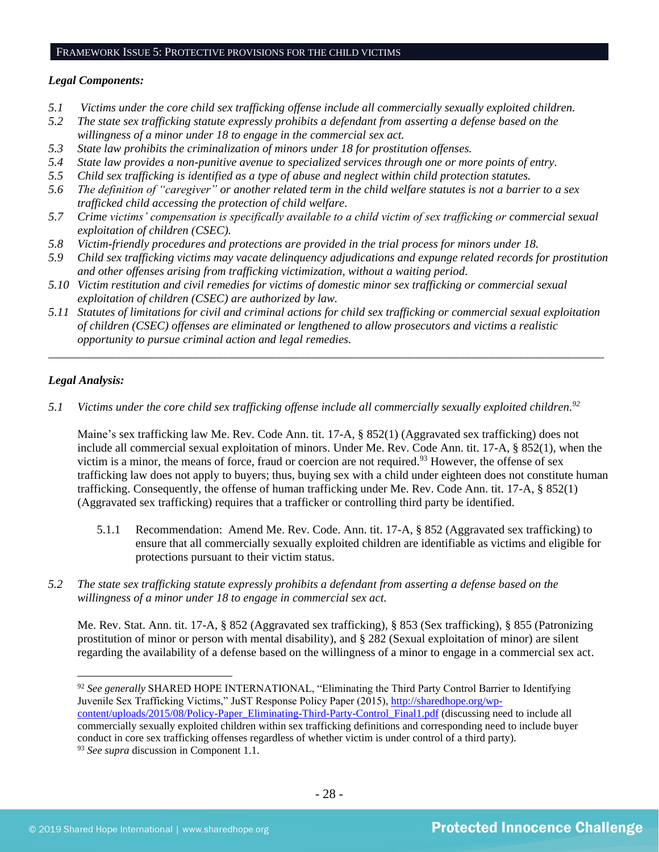#### FRAMEWORK ISSUE 5: PROTECTIVE PROVISIONS FOR THE CHILD VICTIMS

#### *Legal Components:*

- *5.1 Victims under the core child sex trafficking offense include all commercially sexually exploited children.*
- *5.2 The state sex trafficking statute expressly prohibits a defendant from asserting a defense based on the willingness of a minor under 18 to engage in the commercial sex act.*
- *5.3 State law prohibits the criminalization of minors under 18 for prostitution offenses.*
- *5.4 State law provides a non-punitive avenue to specialized services through one or more points of entry.*
- *5.5 Child sex trafficking is identified as a type of abuse and neglect within child protection statutes.*
- *5.6 The definition of "caregiver" or another related term in the child welfare statutes is not a barrier to a sex trafficked child accessing the protection of child welfare.*
- *5.7 Crime victims' compensation is specifically available to a child victim of sex trafficking or commercial sexual exploitation of children (CSEC).*
- *5.8 Victim-friendly procedures and protections are provided in the trial process for minors under 18.*
- *5.9 Child sex trafficking victims may vacate delinquency adjudications and expunge related records for prostitution and other offenses arising from trafficking victimization, without a waiting period.*
- *5.10 Victim restitution and civil remedies for victims of domestic minor sex trafficking or commercial sexual exploitation of children (CSEC) are authorized by law.*
- *5.11 Statutes of limitations for civil and criminal actions for child sex trafficking or commercial sexual exploitation of children (CSEC) offenses are eliminated or lengthened to allow prosecutors and victims a realistic opportunity to pursue criminal action and legal remedies.*

*\_\_\_\_\_\_\_\_\_\_\_\_\_\_\_\_\_\_\_\_\_\_\_\_\_\_\_\_\_\_\_\_\_\_\_\_\_\_\_\_\_\_\_\_\_\_\_\_\_\_\_\_\_\_\_\_\_\_\_\_\_\_\_\_\_\_\_\_\_\_\_\_\_\_\_\_\_\_\_\_\_\_\_\_\_\_\_\_\_\_\_\_\_\_*

# *Legal Analysis:*

*5.1 Victims under the core child sex trafficking offense include all commercially sexually exploited children. 92*

Maine's sex trafficking law Me. Rev. Code Ann. tit. 17-A, § 852(1) (Aggravated sex trafficking) does not include all commercial sexual exploitation of minors. Under Me. Rev. Code Ann. tit. 17-A, § 852(1), when the victim is a minor, the means of force, fraud or coercion are not required.<sup>93</sup> However, the offense of sex trafficking law does not apply to buyers; thus, buying sex with a child under eighteen does not constitute human trafficking. Consequently, the offense of human trafficking under Me. Rev. Code Ann. tit. 17-A, § 852(1) (Aggravated sex trafficking) requires that a trafficker or controlling third party be identified.

- 5.1.1 Recommendation: Amend Me. Rev. Code. Ann. tit. 17-A, § 852 (Aggravated sex trafficking) to ensure that all commercially sexually exploited children are identifiable as victims and eligible for protections pursuant to their victim status.
- *5.2 The state sex trafficking statute expressly prohibits a defendant from asserting a defense based on the willingness of a minor under 18 to engage in commercial sex act.*

Me. Rev. Stat. Ann. tit. 17-A, § 852 (Aggravated sex trafficking), § 853 (Sex trafficking), § 855 (Patronizing prostitution of minor or person with mental disability), and § 282 (Sexual exploitation of minor) are silent regarding the availability of a defense based on the willingness of a minor to engage in a commercial sex act.

<sup>&</sup>lt;sup>92</sup> See generally SHARED HOPE INTERNATIONAL, "Eliminating the Third Party Control Barrier to Identifying Juvenile Sex Trafficking Victims," JuST Response Policy Paper (2015), [http://sharedhope.org/wp](http://sharedhope.org/wp-content/uploads/2015/08/Policy-Paper_Eliminating-Third-Party-Control_Final1.pdf)[content/uploads/2015/08/Policy-Paper\\_Eliminating-Third-Party-Control\\_Final1.pdf](http://sharedhope.org/wp-content/uploads/2015/08/Policy-Paper_Eliminating-Third-Party-Control_Final1.pdf) (discussing need to include all commercially sexually exploited children within sex trafficking definitions and corresponding need to include buyer conduct in core sex trafficking offenses regardless of whether victim is under control of a third party). <sup>93</sup> *See supra* discussion in Component 1.1.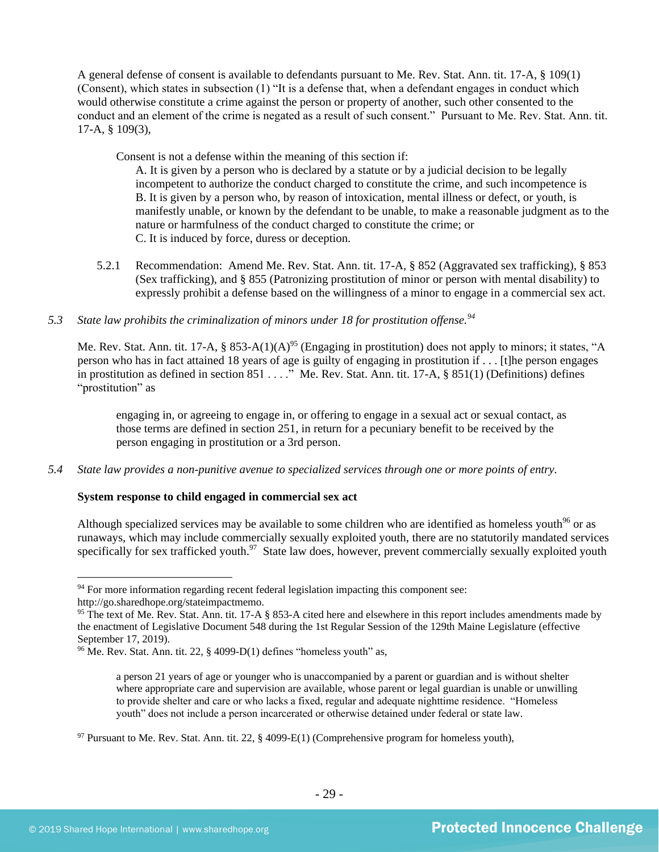A general defense of consent is available to defendants pursuant to Me. Rev. Stat. Ann. tit. 17-A, § 109(1) (Consent), which states in subsection (1) "It is a defense that, when a defendant engages in conduct which would otherwise constitute a crime against the person or property of another, such other consented to the conduct and an element of the crime is negated as a result of such consent." Pursuant to Me. Rev. Stat. Ann. tit. 17-A, § 109(3),

Consent is not a defense within the meaning of this section if:

A. It is given by a person who is declared by a statute or by a judicial decision to be legally incompetent to authorize the conduct charged to constitute the crime, and such incompetence is B. It is given by a person who, by reason of intoxication, mental illness or defect, or youth, is manifestly unable, or known by the defendant to be unable, to make a reasonable judgment as to the nature or harmfulness of the conduct charged to constitute the crime; or C. It is induced by force, duress or deception.

5.2.1 Recommendation: Amend Me. Rev. Stat. Ann. tit. 17-A, § 852 (Aggravated sex trafficking), § 853 (Sex trafficking), and § 855 (Patronizing prostitution of minor or person with mental disability) to expressly prohibit a defense based on the willingness of a minor to engage in a commercial sex act.

# *5.3 State law prohibits the criminalization of minors under 18 for prostitution offense.<sup>94</sup>*

Me. Rev. Stat. Ann. tit. 17-A, § 853-A(1)(A)<sup>95</sup> (Engaging in prostitution) does not apply to minors; it states, "A person who has in fact attained 18 years of age is guilty of engaging in prostitution if . . . [t]he person engages in prostitution as defined in section  $851 \ldots$ ." Me. Rev. Stat. Ann. tit. 17-A, §  $851(1)$  (Definitions) defines "prostitution" as

engaging in, or agreeing to engage in, or offering to engage in a sexual act or sexual contact, as those terms are defined in section 251, in return for a pecuniary benefit to be received by the person engaging in prostitution or a 3rd person.

*5.4 State law provides a non-punitive avenue to specialized services through one or more points of entry.*

# **System response to child engaged in commercial sex act**

Although specialized services may be available to some children who are identified as homeless youth<sup>96</sup> or as runaways, which may include commercially sexually exploited youth, there are no statutorily mandated services specifically for sex trafficked youth.<sup>97</sup> State law does, however, prevent commercially sexually exploited youth

 $94$  For more information regarding recent federal legislation impacting this component see:

http://go.sharedhope.org/stateimpactmemo.

<sup>&</sup>lt;sup>95</sup> The text of Me. Rev. Stat. Ann. tit. 17-A § 853-A cited here and elsewhere in this report includes amendments made by the enactment of Legislative Document 548 during the 1st Regular Session of the 129th Maine Legislature (effective September 17, 2019).

 $96$  Me. Rev. Stat. Ann. tit. 22, § 4099-D(1) defines "homeless youth" as,

a person 21 years of age or younger who is unaccompanied by a parent or guardian and is without shelter where appropriate care and supervision are available, whose parent or legal guardian is unable or unwilling to provide shelter and care or who lacks a fixed, regular and adequate nighttime residence. "Homeless youth" does not include a person incarcerated or otherwise detained under federal or state law.

 $97$  Pursuant to Me. Rev. Stat. Ann. tit. 22, § 4099-E(1) (Comprehensive program for homeless youth),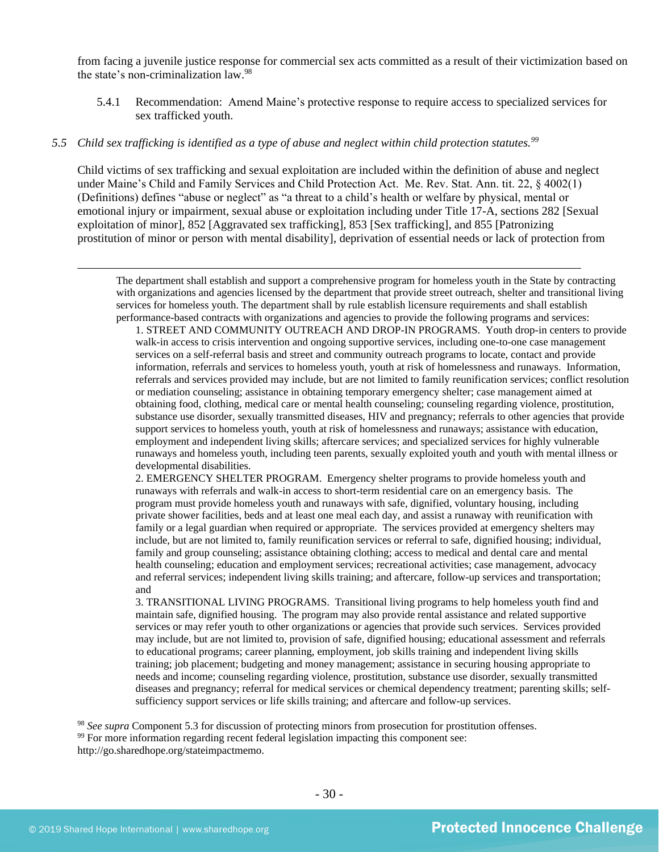from facing a juvenile justice response for commercial sex acts committed as a result of their victimization based on the state's non-criminalization law.<sup>98</sup>

5.4.1 Recommendation: Amend Maine's protective response to require access to specialized services for sex trafficked youth.

#### *5.5 Child sex trafficking is identified as a type of abuse and neglect within child protection statutes.<sup>99</sup>*

Child victims of sex trafficking and sexual exploitation are included within the definition of abuse and neglect under Maine's Child and Family Services and Child Protection Act. Me. Rev. Stat. Ann. tit. 22, § 4002(1) (Definitions) defines "abuse or neglect" as "a threat to a child's health or welfare by physical, mental or emotional injury or impairment, sexual abuse or exploitation including under Title 17-A, sections 282 [Sexual exploitation of minor], 852 [Aggravated sex trafficking], 853 [Sex trafficking], and 855 [Patronizing prostitution of minor or person with mental disability], deprivation of essential needs or lack of protection from

The department shall establish and support a comprehensive program for homeless youth in the State by contracting with organizations and agencies licensed by the department that provide street outreach, shelter and transitional living services for homeless youth. The department shall by rule establish licensure requirements and shall establish performance-based contracts with organizations and agencies to provide the following programs and services:

1. STREET AND COMMUNITY OUTREACH AND DROP-IN PROGRAMS. Youth drop-in centers to provide walk-in access to crisis intervention and ongoing supportive services, including one-to-one case management services on a self-referral basis and street and community outreach programs to locate, contact and provide information, referrals and services to homeless youth, youth at risk of homelessness and runaways. Information, referrals and services provided may include, but are not limited to family reunification services; conflict resolution or mediation counseling; assistance in obtaining temporary emergency shelter; case management aimed at obtaining food, clothing, medical care or mental health counseling; counseling regarding violence, prostitution, substance use disorder, sexually transmitted diseases, HIV and pregnancy; referrals to other agencies that provide support services to homeless youth, youth at risk of homelessness and runaways; assistance with education, employment and independent living skills; aftercare services; and specialized services for highly vulnerable runaways and homeless youth, including teen parents, sexually exploited youth and youth with mental illness or developmental disabilities.

2. EMERGENCY SHELTER PROGRAM. Emergency shelter programs to provide homeless youth and runaways with referrals and walk-in access to short-term residential care on an emergency basis. The program must provide homeless youth and runaways with safe, dignified, voluntary housing, including private shower facilities, beds and at least one meal each day, and assist a runaway with reunification with family or a legal guardian when required or appropriate. The services provided at emergency shelters may include, but are not limited to, family reunification services or referral to safe, dignified housing; individual, family and group counseling; assistance obtaining clothing; access to medical and dental care and mental health counseling; education and employment services; recreational activities; case management, advocacy and referral services; independent living skills training; and aftercare, follow-up services and transportation; and

3. TRANSITIONAL LIVING PROGRAMS. Transitional living programs to help homeless youth find and maintain safe, dignified housing. The program may also provide rental assistance and related supportive services or may refer youth to other organizations or agencies that provide such services. Services provided may include, but are not limited to, provision of safe, dignified housing; educational assessment and referrals to educational programs; career planning, employment, job skills training and independent living skills training; job placement; budgeting and money management; assistance in securing housing appropriate to needs and income; counseling regarding violence, prostitution, substance use disorder, sexually transmitted diseases and pregnancy; referral for medical services or chemical dependency treatment; parenting skills; selfsufficiency support services or life skills training; and aftercare and follow-up services.

<sup>98</sup> *See supra* Component 5.3 for discussion of protecting minors from prosecution for prostitution offenses.

<sup>99</sup> For more information regarding recent federal legislation impacting this component see:

http://go.sharedhope.org/stateimpactmemo.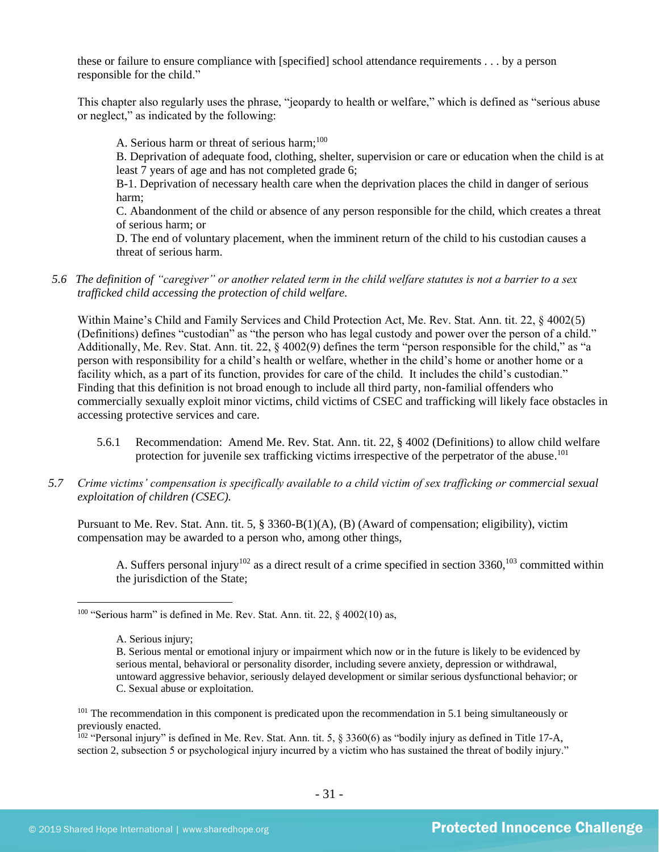these or failure to ensure compliance with [specified] school attendance requirements . . . by a person responsible for the child."

This chapter also regularly uses the phrase, "jeopardy to health or welfare," which is defined as "serious abuse or neglect," as indicated by the following:

A. Serious harm or threat of serious harm;<sup>100</sup>

B. Deprivation of adequate food, clothing, shelter, supervision or care or education when the child is at least 7 years of age and has not completed grade 6;

B-1. Deprivation of necessary health care when the deprivation places the child in danger of serious harm;

C. Abandonment of the child or absence of any person responsible for the child, which creates a threat of serious harm; or

D. The end of voluntary placement, when the imminent return of the child to his custodian causes a threat of serious harm.

*5.6 The definition of "caregiver" or another related term in the child welfare statutes is not a barrier to a sex trafficked child accessing the protection of child welfare.*

Within Maine's Child and Family Services and Child Protection Act, Me. Rev. Stat. Ann. tit. 22, § 4002(5) (Definitions) defines "custodian" as "the person who has legal custody and power over the person of a child." Additionally, Me. Rev. Stat. Ann. tit. 22, § 4002(9) defines the term "person responsible for the child," as "a person with responsibility for a child's health or welfare, whether in the child's home or another home or a facility which, as a part of its function, provides for care of the child. It includes the child's custodian." Finding that this definition is not broad enough to include all third party, non-familial offenders who commercially sexually exploit minor victims, child victims of CSEC and trafficking will likely face obstacles in accessing protective services and care.

- 5.6.1 Recommendation: Amend Me. Rev. Stat. Ann. tit. 22, § 4002 (Definitions) to allow child welfare protection for juvenile sex trafficking victims irrespective of the perpetrator of the abuse.<sup>101</sup>
- *5.7 Crime victims' compensation is specifically available to a child victim of sex trafficking or commercial sexual exploitation of children (CSEC).*

Pursuant to Me. Rev. Stat. Ann. tit. 5, § 3360-B(1)(A), (B) (Award of compensation; eligibility), victim compensation may be awarded to a person who, among other things,

A. Suffers personal injury<sup>102</sup> as a direct result of a crime specified in section 3360,<sup>103</sup> committed within the jurisdiction of the State;

<sup>102</sup> "Personal injury" is defined in Me. Rev. Stat. Ann. tit. 5,  $\S$  3360(6) as "bodily injury as defined in Title 17-A, section 2, subsection 5 or psychological injury incurred by a victim who has sustained the threat of bodily injury."

 $100$  "Serious harm" is defined in Me. Rev. Stat. Ann. tit. 22, § 4002(10) as,

A. Serious injury;

B. Serious mental or emotional injury or impairment which now or in the future is likely to be evidenced by serious mental, behavioral or personality disorder, including severe anxiety, depression or withdrawal, untoward aggressive behavior, seriously delayed development or similar serious dysfunctional behavior; or C. Sexual abuse or exploitation.

<sup>&</sup>lt;sup>101</sup> The recommendation in this component is predicated upon the recommendation in 5.1 being simultaneously or previously enacted.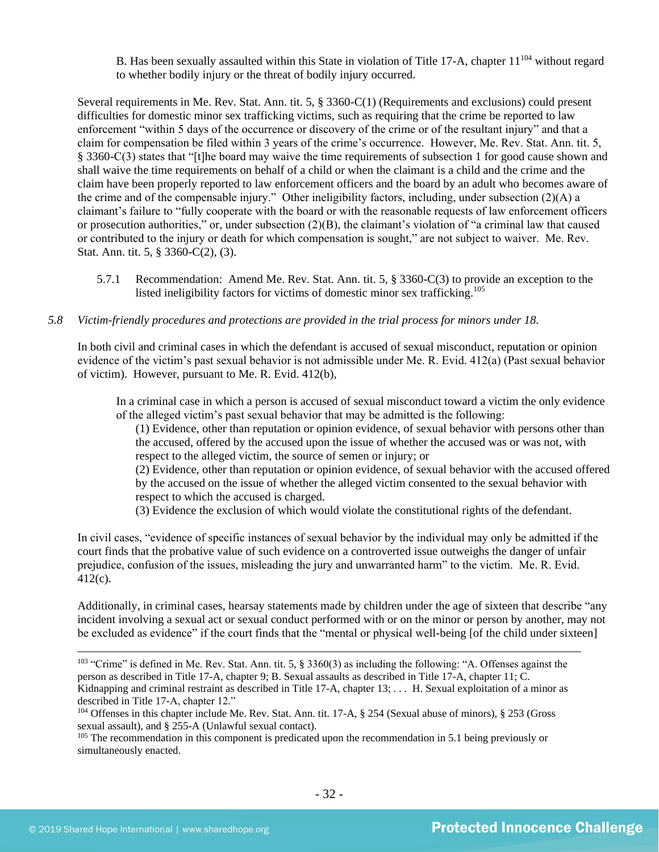B. Has been sexually assaulted within this State in violation of Title 17-A, chapter 11<sup>104</sup> without regard to whether bodily injury or the threat of bodily injury occurred.

Several requirements in Me. Rev. Stat. Ann. tit. 5, § 3360-C(1) (Requirements and exclusions) could present difficulties for domestic minor sex trafficking victims, such as requiring that the crime be reported to law enforcement "within 5 days of the occurrence or discovery of the crime or of the resultant injury" and that a claim for compensation be filed within 3 years of the crime's occurrence. However, Me. Rev. Stat. Ann. tit. 5, § 3360-C(3) states that "[t]he board may waive the time requirements of subsection 1 for good cause shown and shall waive the time requirements on behalf of a child or when the claimant is a child and the crime and the claim have been properly reported to law enforcement officers and the board by an adult who becomes aware of the crime and of the compensable injury." Other ineligibility factors, including, under subsection (2)(A) a claimant's failure to "fully cooperate with the board or with the reasonable requests of law enforcement officers or prosecution authorities," or, under subsection (2)(B), the claimant's violation of "a criminal law that caused or contributed to the injury or death for which compensation is sought," are not subject to waiver. Me. Rev. Stat. Ann. tit. 5, § 3360-C(2), (3).

5.7.1 Recommendation: Amend Me. Rev. Stat. Ann. tit. 5, § 3360-C(3) to provide an exception to the listed ineligibility factors for victims of domestic minor sex trafficking.<sup>105</sup>

## *5.8 Victim-friendly procedures and protections are provided in the trial process for minors under 18.*

In both civil and criminal cases in which the defendant is accused of sexual misconduct, reputation or opinion evidence of the victim's past sexual behavior is not admissible under Me. R. Evid. 412(a) (Past sexual behavior of victim). However, pursuant to Me. R. Evid. 412(b),

In a criminal case in which a person is accused of sexual misconduct toward a victim the only evidence of the alleged victim's past sexual behavior that may be admitted is the following:

(1) Evidence, other than reputation or opinion evidence, of sexual behavior with persons other than the accused, offered by the accused upon the issue of whether the accused was or was not, with respect to the alleged victim, the source of semen or injury; or

(2) Evidence, other than reputation or opinion evidence, of sexual behavior with the accused offered by the accused on the issue of whether the alleged victim consented to the sexual behavior with respect to which the accused is charged.

(3) Evidence the exclusion of which would violate the constitutional rights of the defendant.

In civil cases, "evidence of specific instances of sexual behavior by the individual may only be admitted if the court finds that the probative value of such evidence on a controverted issue outweighs the danger of unfair prejudice, confusion of the issues, misleading the jury and unwarranted harm" to the victim. Me. R. Evid. 412(c).

Additionally, in criminal cases, hearsay statements made by children under the age of sixteen that describe "any incident involving a sexual act or sexual conduct performed with or on the minor or person by another, may not be excluded as evidence" if the court finds that the "mental or physical well-being [of the child under sixteen]

 $103$  "Crime" is defined in Me. Rev. Stat. Ann. tit. 5, § 3360(3) as including the following: "A. Offenses against the person as described in Title 17-A, chapter 9; B. Sexual assaults as described in Title 17-A, chapter 11; C. Kidnapping and criminal restraint as described in Title 17-A, chapter  $13; \ldots$  H. Sexual exploitation of a minor as described in Title 17-A, chapter 12."

<sup>104</sup> Offenses in this chapter include Me. Rev. Stat. Ann. tit. 17-A, § 254 (Sexual abuse of minors), § 253 (Gross sexual assault), and § 255-A (Unlawful sexual contact).

<sup>&</sup>lt;sup>105</sup> The recommendation in this component is predicated upon the recommendation in 5.1 being previously or simultaneously enacted.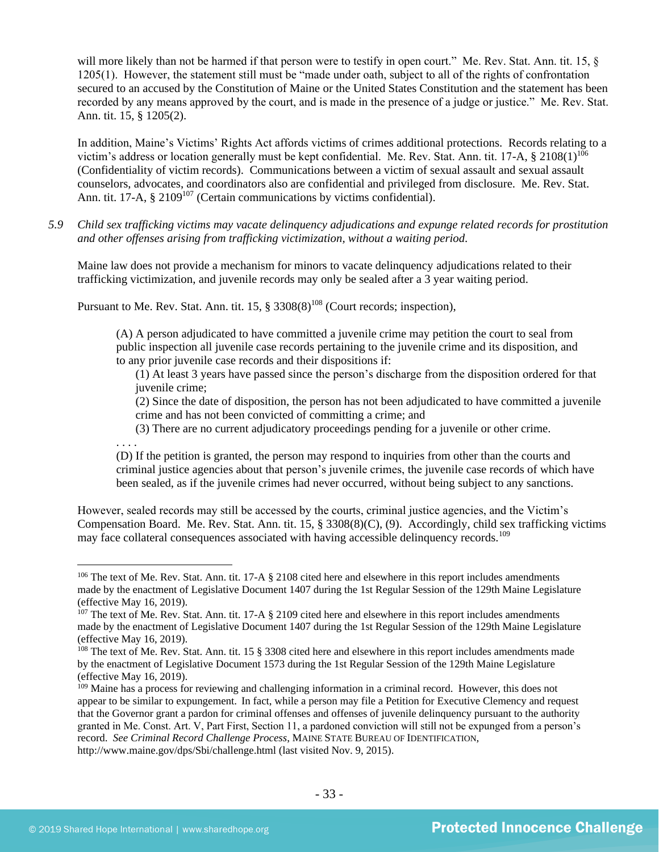will more likely than not be harmed if that person were to testify in open court." Me. Rev. Stat. Ann. tit. 15,  $\S$ 1205(1). However, the statement still must be "made under oath, subject to all of the rights of confrontation secured to an accused by the Constitution of Maine or the United States Constitution and the statement has been recorded by any means approved by the court, and is made in the presence of a judge or justice." Me. Rev. Stat. Ann. tit. 15, § 1205(2).

In addition, Maine's Victims' Rights Act affords victims of crimes additional protections. Records relating to a victim's address or location generally must be kept confidential. Me. Rev. Stat. Ann. tit. 17-A,  $\S$  2108(1)<sup>106</sup> (Confidentiality of victim records). Communications between a victim of sexual assault and sexual assault counselors, advocates, and coordinators also are confidential and privileged from disclosure. Me. Rev. Stat. Ann. tit. 17-A,  $\S 2109^{107}$  (Certain communications by victims confidential).

*5.9 Child sex trafficking victims may vacate delinquency adjudications and expunge related records for prostitution and other offenses arising from trafficking victimization, without a waiting period.*

Maine law does not provide a mechanism for minors to vacate delinquency adjudications related to their trafficking victimization, and juvenile records may only be sealed after a 3 year waiting period.

Pursuant to Me. Rev. Stat. Ann. tit.  $15, \frac{8}{9}$  3308(8)<sup>108</sup> (Court records; inspection),

(A) A person adjudicated to have committed a juvenile crime may petition the court to seal from public inspection all juvenile case records pertaining to the juvenile crime and its disposition, and to any prior juvenile case records and their dispositions if:

(1) At least 3 years have passed since the person's discharge from the disposition ordered for that juvenile crime;

(2) Since the date of disposition, the person has not been adjudicated to have committed a juvenile crime and has not been convicted of committing a crime; and

(3) There are no current adjudicatory proceedings pending for a juvenile or other crime.

. . . .

(D) If the petition is granted, the person may respond to inquiries from other than the courts and criminal justice agencies about that person's juvenile crimes, the juvenile case records of which have been sealed, as if the juvenile crimes had never occurred, without being subject to any sanctions.

However, sealed records may still be accessed by the courts, criminal justice agencies, and the Victim's Compensation Board. Me. Rev. Stat. Ann. tit. 15, § 3308(8)(C), (9). Accordingly, child sex trafficking victims may face collateral consequences associated with having accessible delinquency records.<sup>109</sup>

 $106$  The text of Me. Rev. Stat. Ann. tit. 17-A § 2108 cited here and elsewhere in this report includes amendments made by the enactment of Legislative Document 1407 during the 1st Regular Session of the 129th Maine Legislature (effective May 16, 2019).

 $107$  The text of Me. Rev. Stat. Ann. tit. 17-A § 2109 cited here and elsewhere in this report includes amendments made by the enactment of Legislative Document 1407 during the 1st Regular Session of the 129th Maine Legislature (effective May 16, 2019).

<sup>&</sup>lt;sup>108</sup> The text of Me. Rev. Stat. Ann. tit. 15 § 3308 cited here and elsewhere in this report includes amendments made by the enactment of Legislative Document 1573 during the 1st Regular Session of the 129th Maine Legislature (effective May 16, 2019).

<sup>&</sup>lt;sup>109</sup> Maine has a process for reviewing and challenging information in a criminal record. However, this does not appear to be similar to expungement. In fact, while a person may file a Petition for Executive Clemency and request that the Governor grant a pardon for criminal offenses and offenses of juvenile delinquency pursuant to the authority granted in Me. Const. Art. V, Part First, Section 11, a pardoned conviction will still not be expunged from a person's record. *See Criminal Record Challenge Process*, MAINE STATE BUREAU OF IDENTIFICATION, http://www.maine.gov/dps/Sbi/challenge.html (last visited Nov. 9, 2015).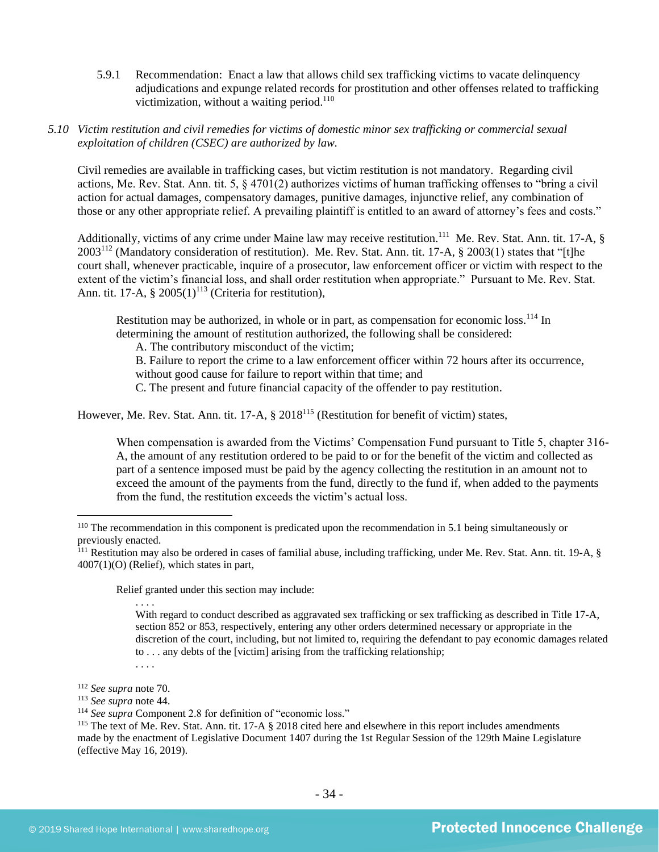5.9.1 Recommendation: Enact a law that allows child sex trafficking victims to vacate delinquency adjudications and expunge related records for prostitution and other offenses related to trafficking victimization, without a waiting period.<sup>110</sup>

## *5.10 Victim restitution and civil remedies for victims of domestic minor sex trafficking or commercial sexual exploitation of children (CSEC) are authorized by law.*

Civil remedies are available in trafficking cases, but victim restitution is not mandatory. Regarding civil actions, Me. Rev. Stat. Ann. tit. 5, § 4701(2) authorizes victims of human trafficking offenses to "bring a civil action for actual damages, compensatory damages, punitive damages, injunctive relief, any combination of those or any other appropriate relief. A prevailing plaintiff is entitled to an award of attorney's fees and costs."

Additionally, victims of any crime under Maine law may receive restitution.<sup>111</sup> Me. Rev. Stat. Ann. tit. 17-A, § 2003<sup>112</sup> (Mandatory consideration of restitution). Me. Rev. Stat. Ann. tit. 17-A, § 2003(1) states that "[t]he court shall, whenever practicable, inquire of a prosecutor, law enforcement officer or victim with respect to the extent of the victim's financial loss, and shall order restitution when appropriate." Pursuant to Me. Rev. Stat. Ann. tit. 17-A,  $\S 2005(1)^{113}$  (Criteria for restitution),

Restitution may be authorized, in whole or in part, as compensation for economic loss.<sup>114</sup> In determining the amount of restitution authorized, the following shall be considered:

A. The contributory misconduct of the victim;

B. Failure to report the crime to a law enforcement officer within 72 hours after its occurrence, without good cause for failure to report within that time; and

C. The present and future financial capacity of the offender to pay restitution.

However, Me. Rev. Stat. Ann. tit. 17-A, § 2018<sup>115</sup> (Restitution for benefit of victim) states,

When compensation is awarded from the Victims' Compensation Fund pursuant to Title 5, chapter 316-A, the amount of any restitution ordered to be paid to or for the benefit of the victim and collected as part of a sentence imposed must be paid by the agency collecting the restitution in an amount not to exceed the amount of the payments from the fund, directly to the fund if, when added to the payments from the fund, the restitution exceeds the victim's actual loss.

Relief granted under this section may include:

. . . .

With regard to conduct described as aggravated sex trafficking or sex trafficking as described in Title 17-A, section 852 or 853, respectively, entering any other orders determined necessary or appropriate in the discretion of the court, including, but not limited to, requiring the defendant to pay economic damages related to . . . any debts of the [victim] arising from the trafficking relationship; . . . .

<sup>&</sup>lt;sup>110</sup> The recommendation in this component is predicated upon the recommendation in 5.1 being simultaneously or previously enacted.

 $^{111}$  Restitution may also be ordered in cases of familial abuse, including trafficking, under Me. Rev. Stat. Ann. tit. 19-A, § 4007(1)(O) (Relief), which states in part,

<sup>112</sup> *See supra* not[e 70.](#page-19-0)

<sup>113</sup> *See supra* not[e 44.](#page-12-0)

<sup>114</sup> *See supra* Component 2.8 for definition of "economic loss."

<sup>&</sup>lt;sup>115</sup> The text of Me. Rev. Stat. Ann. tit. 17-A § 2018 cited here and elsewhere in this report includes amendments made by the enactment of Legislative Document 1407 during the 1st Regular Session of the 129th Maine Legislature (effective May 16, 2019).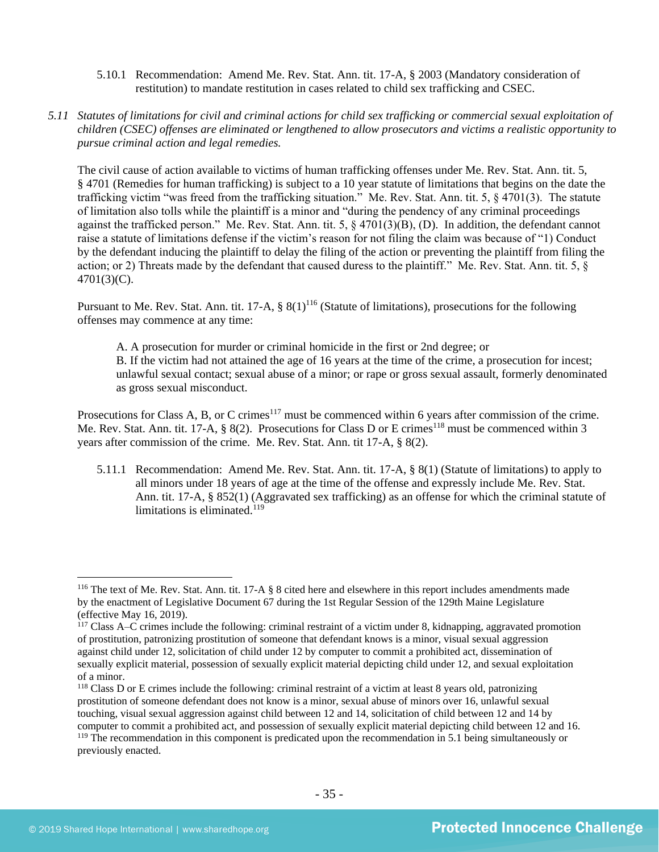- 5.10.1 Recommendation: Amend Me. Rev. Stat. Ann. tit. 17-A, § 2003 (Mandatory consideration of restitution) to mandate restitution in cases related to child sex trafficking and CSEC.
- *5.11 Statutes of limitations for civil and criminal actions for child sex trafficking or commercial sexual exploitation of children (CSEC) offenses are eliminated or lengthened to allow prosecutors and victims a realistic opportunity to pursue criminal action and legal remedies.*

The civil cause of action available to victims of human trafficking offenses under Me. Rev. Stat. Ann. tit. 5, § 4701 (Remedies for human trafficking) is subject to a 10 year statute of limitations that begins on the date the trafficking victim "was freed from the trafficking situation." Me. Rev. Stat. Ann. tit. 5, § 4701(3). The statute of limitation also tolls while the plaintiff is a minor and "during the pendency of any criminal proceedings against the trafficked person." Me. Rev. Stat. Ann. tit. 5, § 4701(3)(B), (D). In addition, the defendant cannot raise a statute of limitations defense if the victim's reason for not filing the claim was because of "1) Conduct by the defendant inducing the plaintiff to delay the filing of the action or preventing the plaintiff from filing the action; or 2) Threats made by the defendant that caused duress to the plaintiff." Me. Rev. Stat. Ann. tit. 5, § 4701(3)(C).

Pursuant to Me. Rev. Stat. Ann. tit. 17-A,  $\S 8(1)^{116}$  (Statute of limitations), prosecutions for the following offenses may commence at any time:

A. A prosecution for murder or criminal homicide in the first or 2nd degree; or B. If the victim had not attained the age of 16 years at the time of the crime, a prosecution for incest; unlawful sexual contact; sexual abuse of a minor; or rape or gross sexual assault, formerly denominated as gross sexual misconduct.

Prosecutions for Class A, B, or C crimes<sup>117</sup> must be commenced within 6 years after commission of the crime. Me. Rev. Stat. Ann. tit. 17-A, § 8(2). Prosecutions for Class D or E crimes<sup>118</sup> must be commenced within 3 years after commission of the crime. Me. Rev. Stat. Ann. tit 17-A, § 8(2).

5.11.1 Recommendation: Amend Me. Rev. Stat. Ann. tit. 17-A, § 8(1) (Statute of limitations) to apply to all minors under 18 years of age at the time of the offense and expressly include Me. Rev. Stat. Ann. tit. 17-A, § 852(1) (Aggravated sex trafficking) as an offense for which the criminal statute of limitations is eliminated. $119$ 

<sup>&</sup>lt;sup>116</sup> The text of Me. Rev. Stat. Ann. tit.  $17-A$  § 8 cited here and elsewhere in this report includes amendments made by the enactment of Legislative Document 67 during the 1st Regular Session of the 129th Maine Legislature (effective May 16, 2019).

<sup>&</sup>lt;sup>117</sup> Class A–C crimes include the following: criminal restraint of a victim under 8, kidnapping, aggravated promotion of prostitution, patronizing prostitution of someone that defendant knows is a minor, visual sexual aggression against child under 12, solicitation of child under 12 by computer to commit a prohibited act, dissemination of sexually explicit material, possession of sexually explicit material depicting child under 12, and sexual exploitation of a minor.

<sup>&</sup>lt;sup>118</sup> Class D or E crimes include the following: criminal restraint of a victim at least 8 years old, patronizing prostitution of someone defendant does not know is a minor, sexual abuse of minors over 16, unlawful sexual touching, visual sexual aggression against child between 12 and 14, solicitation of child between 12 and 14 by computer to commit a prohibited act, and possession of sexually explicit material depicting child between 12 and 16. <sup>119</sup> The recommendation in this component is predicated upon the recommendation in 5.1 being simultaneously or previously enacted.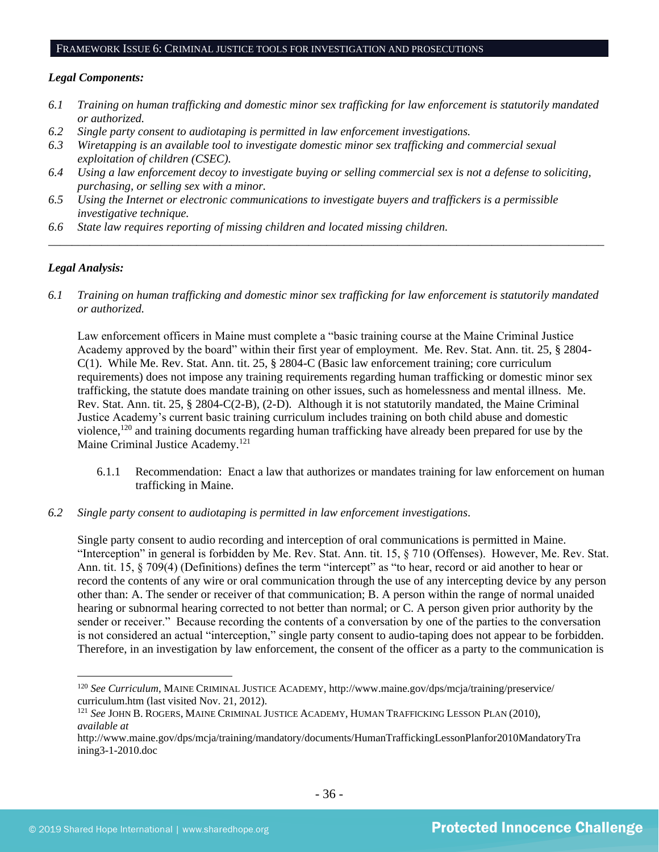#### FRAMEWORK ISSUE 6: CRIMINAL JUSTICE TOOLS FOR INVESTIGATION AND PROSECUTIONS

#### *Legal Components:*

- *6.1 Training on human trafficking and domestic minor sex trafficking for law enforcement is statutorily mandated or authorized.*
- *6.2 Single party consent to audiotaping is permitted in law enforcement investigations.*
- *6.3 Wiretapping is an available tool to investigate domestic minor sex trafficking and commercial sexual exploitation of children (CSEC).*
- *6.4 Using a law enforcement decoy to investigate buying or selling commercial sex is not a defense to soliciting, purchasing, or selling sex with a minor.*
- *6.5 Using the Internet or electronic communications to investigate buyers and traffickers is a permissible investigative technique.*
- *6.6 State law requires reporting of missing children and located missing children.*

#### *Legal Analysis:*

*6.1 Training on human trafficking and domestic minor sex trafficking for law enforcement is statutorily mandated or authorized.*

*\_\_\_\_\_\_\_\_\_\_\_\_\_\_\_\_\_\_\_\_\_\_\_\_\_\_\_\_\_\_\_\_\_\_\_\_\_\_\_\_\_\_\_\_\_\_\_\_\_\_\_\_\_\_\_\_\_\_\_\_\_\_\_\_\_\_\_\_\_\_\_\_\_\_\_\_\_\_\_\_\_\_\_\_\_\_\_\_\_\_\_\_\_\_*

Law enforcement officers in Maine must complete a "basic training course at the Maine Criminal Justice Academy approved by the board" within their first year of employment. Me. Rev. Stat. Ann. tit. 25, § 2804- C(1). While Me. Rev. Stat. Ann. tit. 25, § 2804-C (Basic law enforcement training; core curriculum requirements) does not impose any training requirements regarding human trafficking or domestic minor sex trafficking, the statute does mandate training on other issues, such as homelessness and mental illness. Me. Rev. Stat. Ann. tit. 25, § 2804-C(2-B), (2-D). Although it is not statutorily mandated, the Maine Criminal Justice Academy's current basic training curriculum includes training on both child abuse and domestic violence,<sup>120</sup> and training documents regarding human trafficking have already been prepared for use by the Maine Criminal Justice Academy.<sup>121</sup>

- 6.1.1 Recommendation: Enact a law that authorizes or mandates training for law enforcement on human trafficking in Maine.
- *6.2 Single party consent to audiotaping is permitted in law enforcement investigations.*

Single party consent to audio recording and interception of oral communications is permitted in Maine. "Interception" in general is forbidden by Me. Rev. Stat. Ann. tit. 15, § 710 (Offenses). However, Me. Rev. Stat. Ann. tit. 15, § 709(4) (Definitions) defines the term "intercept" as "to hear, record or aid another to hear or record the contents of any wire or oral communication through the use of any intercepting device by any person other than: A. The sender or receiver of that communication; B. A person within the range of normal unaided hearing or subnormal hearing corrected to not better than normal; or C. A person given prior authority by the sender or receiver." Because recording the contents of a conversation by one of the parties to the conversation is not considered an actual "interception," single party consent to audio-taping does not appear to be forbidden. Therefore, in an investigation by law enforcement, the consent of the officer as a party to the communication is

<sup>120</sup> *See Curriculum*, MAINE CRIMINAL JUSTICE ACADEMY, http://www.maine.gov/dps/mcja/training/preservice/ curriculum.htm (last visited Nov. 21, 2012).

<sup>121</sup> *See* JOHN B. ROGERS, MAINE CRIMINAL JUSTICE ACADEMY, HUMAN TRAFFICKING LESSON PLAN (2010), *available at*

http://www.maine.gov/dps/mcja/training/mandatory/documents/HumanTraffickingLessonPlanfor2010MandatoryTra ining3-1-2010.doc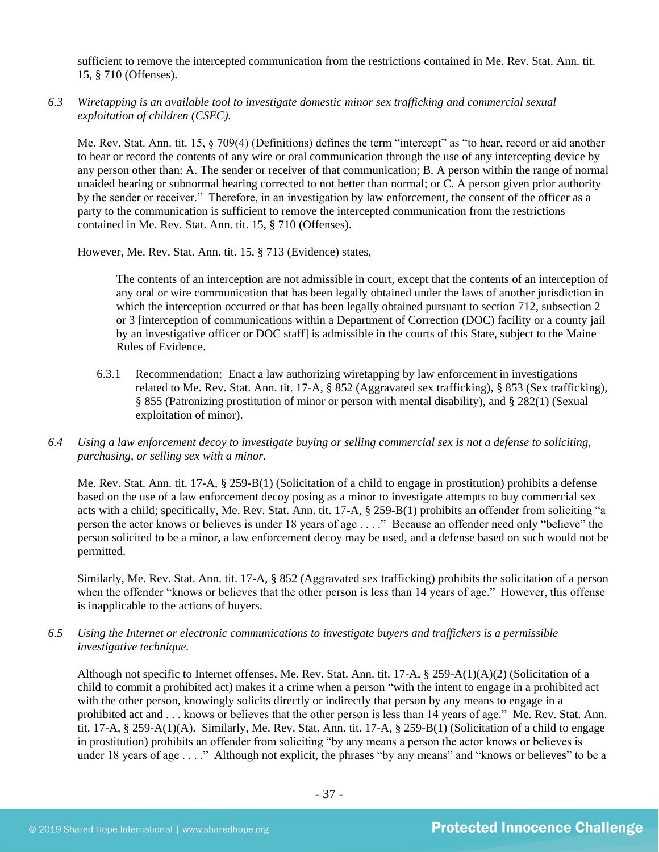sufficient to remove the intercepted communication from the restrictions contained in Me. Rev. Stat. Ann. tit. 15, § 710 (Offenses).

*6.3 Wiretapping is an available tool to investigate domestic minor sex trafficking and commercial sexual exploitation of children (CSEC).* 

Me. Rev. Stat. Ann. tit. 15, § 709(4) (Definitions) defines the term "intercept" as "to hear, record or aid another to hear or record the contents of any wire or oral communication through the use of any intercepting device by any person other than: A. The sender or receiver of that communication; B. A person within the range of normal unaided hearing or subnormal hearing corrected to not better than normal; or C. A person given prior authority by the sender or receiver." Therefore, in an investigation by law enforcement, the consent of the officer as a party to the communication is sufficient to remove the intercepted communication from the restrictions contained in Me. Rev. Stat. Ann. tit. 15, § 710 (Offenses).

However, Me. Rev. Stat. Ann. tit. 15, § 713 (Evidence) states,

The contents of an interception are not admissible in court, except that the contents of an interception of any oral or wire communication that has been legally obtained under the laws of another jurisdiction in which the interception occurred or that has been legally obtained pursuant to section 712, subsection 2 or 3 [interception of communications within a Department of Correction (DOC) facility or a county jail by an investigative officer or DOC staff] is admissible in the courts of this State, subject to the Maine Rules of Evidence.

- 6.3.1 Recommendation: Enact a law authorizing wiretapping by law enforcement in investigations related to Me. Rev. Stat. Ann. tit. 17-A, § 852 (Aggravated sex trafficking), § 853 (Sex trafficking), § 855 (Patronizing prostitution of minor or person with mental disability), and § 282(1) (Sexual exploitation of minor).
- *6.4 Using a law enforcement decoy to investigate buying or selling commercial sex is not a defense to soliciting, purchasing, or selling sex with a minor.*

Me. Rev. Stat. Ann. tit. 17-A, § 259-B(1) (Solicitation of a child to engage in prostitution) prohibits a defense based on the use of a law enforcement decoy posing as a minor to investigate attempts to buy commercial sex acts with a child; specifically, Me. Rev. Stat. Ann. tit. 17-A, § 259-B(1) prohibits an offender from soliciting "a person the actor knows or believes is under 18 years of age . . . ." Because an offender need only "believe" the person solicited to be a minor, a law enforcement decoy may be used, and a defense based on such would not be permitted.

Similarly, Me. Rev. Stat. Ann. tit. 17-A, § 852 (Aggravated sex trafficking) prohibits the solicitation of a person when the offender "knows or believes that the other person is less than 14 years of age." However, this offense is inapplicable to the actions of buyers.

*6.5 Using the Internet or electronic communications to investigate buyers and traffickers is a permissible investigative technique.*

Although not specific to Internet offenses, Me. Rev. Stat. Ann. tit. 17-A, § 259-A(1)(A)(2) (Solicitation of a child to commit a prohibited act) makes it a crime when a person "with the intent to engage in a prohibited act with the other person, knowingly solicits directly or indirectly that person by any means to engage in a prohibited act and . . . knows or believes that the other person is less than 14 years of age." Me. Rev. Stat. Ann. tit. 17-A, § 259-A(1)(A). Similarly, Me. Rev. Stat. Ann. tit. 17-A, § 259-B(1) (Solicitation of a child to engage in prostitution) prohibits an offender from soliciting "by any means a person the actor knows or believes is under 18 years of age . . . ." Although not explicit, the phrases "by any means" and "knows or believes" to be a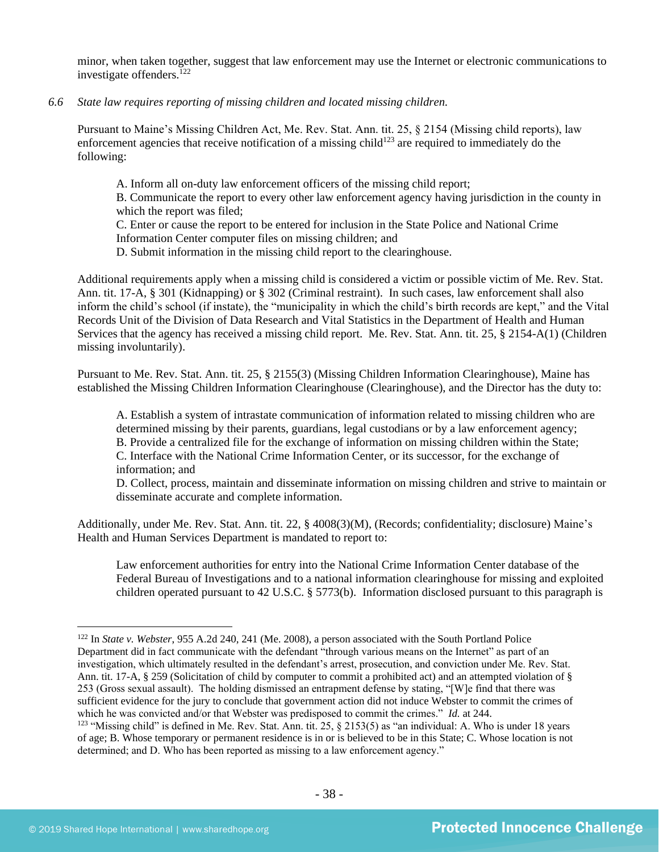minor, when taken together, suggest that law enforcement may use the Internet or electronic communications to investigate offenders. $^{122}$ 

#### *6.6 State law requires reporting of missing children and located missing children.*

Pursuant to Maine's Missing Children Act, Me. Rev. Stat. Ann. tit. 25, § 2154 (Missing child reports), law enforcement agencies that receive notification of a missing child<sup>123</sup> are required to immediately do the following:

A. Inform all on-duty law enforcement officers of the missing child report;

B. Communicate the report to every other law enforcement agency having jurisdiction in the county in which the report was filed;

C. Enter or cause the report to be entered for inclusion in the State Police and National Crime Information Center computer files on missing children; and

D. Submit information in the missing child report to the clearinghouse.

Additional requirements apply when a missing child is considered a victim or possible victim of Me. Rev. Stat. Ann. tit. 17-A, § 301 (Kidnapping) or § 302 (Criminal restraint). In such cases, law enforcement shall also inform the child's school (if instate), the "municipality in which the child's birth records are kept," and the Vital Records Unit of the Division of Data Research and Vital Statistics in the Department of Health and Human Services that the agency has received a missing child report. Me. Rev. Stat. Ann. tit. 25, § 2154-A(1) (Children missing involuntarily).

Pursuant to Me. Rev. Stat. Ann. tit. 25, § 2155(3) (Missing Children Information Clearinghouse), Maine has established the Missing Children Information Clearinghouse (Clearinghouse), and the Director has the duty to:

A. Establish a system of intrastate communication of information related to missing children who are determined missing by their parents, guardians, legal custodians or by a law enforcement agency; B. Provide a centralized file for the exchange of information on missing children within the State; C. Interface with the National Crime Information Center, or its successor, for the exchange of information; and

D. Collect, process, maintain and disseminate information on missing children and strive to maintain or disseminate accurate and complete information.

Additionally, under Me. Rev. Stat. Ann. tit. 22, § 4008(3)(M), (Records; confidentiality; disclosure) Maine's Health and Human Services Department is mandated to report to:

Law enforcement authorities for entry into the National Crime Information Center database of the Federal Bureau of Investigations and to a national information clearinghouse for missing and exploited children operated pursuant to 42 U.S.C. § 5773(b). Information disclosed pursuant to this paragraph is

<sup>122</sup> In *State v. Webster*, 955 A.2d 240, 241 (Me. 2008), a person associated with the South Portland Police Department did in fact communicate with the defendant "through various means on the Internet" as part of an investigation, which ultimately resulted in the defendant's arrest, prosecution, and conviction under Me. Rev. Stat. Ann. tit. 17-A, § 259 (Solicitation of child by computer to commit a prohibited act) and an attempted violation of § 253 (Gross sexual assault). The holding dismissed an entrapment defense by stating, "[W]e find that there was sufficient evidence for the jury to conclude that government action did not induce Webster to commit the crimes of which he was convicted and/or that Webster was predisposed to commit the crimes." *Id.* at 244.

<sup>&</sup>lt;sup>123</sup> "Missing child" is defined in Me. Rev. Stat. Ann. tit. 25,  $\S$  2153(5) as "an individual: A. Who is under 18 years of age; B. Whose temporary or permanent residence is in or is believed to be in this State; C. Whose location is not determined; and D. Who has been reported as missing to a law enforcement agency."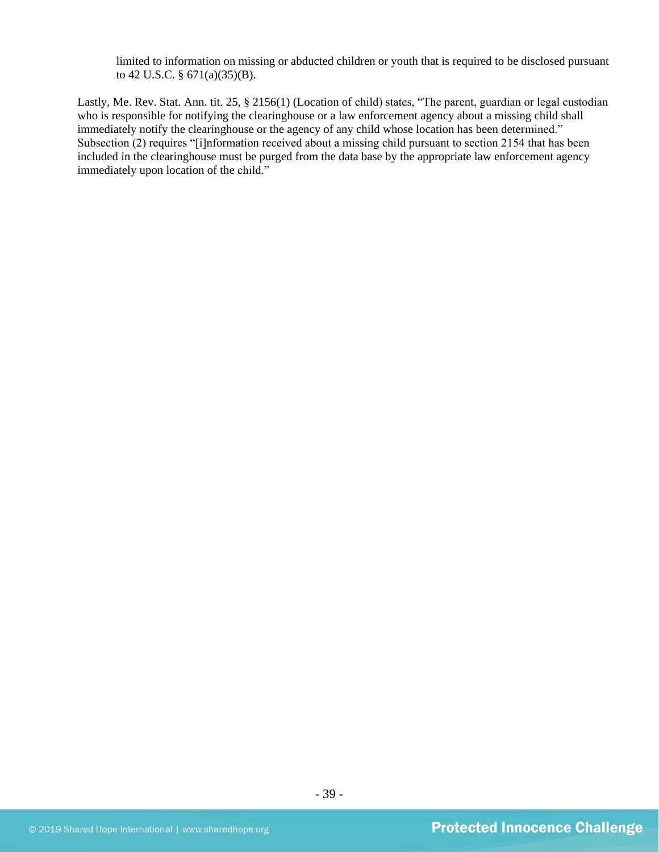limited to information on missing or abducted children or youth that is required to be disclosed pursuant to 42 U.S.C. § 671(a)(35)(B).

Lastly, Me. Rev. Stat. Ann. tit. 25, § 2156(1) (Location of child) states, "The parent, guardian or legal custodian who is responsible for notifying the clearinghouse or a law enforcement agency about a missing child shall immediately notify the clearinghouse or the agency of any child whose location has been determined." Subsection (2) requires "[i]nformation received about a missing child pursuant to section 2154 that has been included in the clearinghouse must be purged from the data base by the appropriate law enforcement agency immediately upon location of the child."